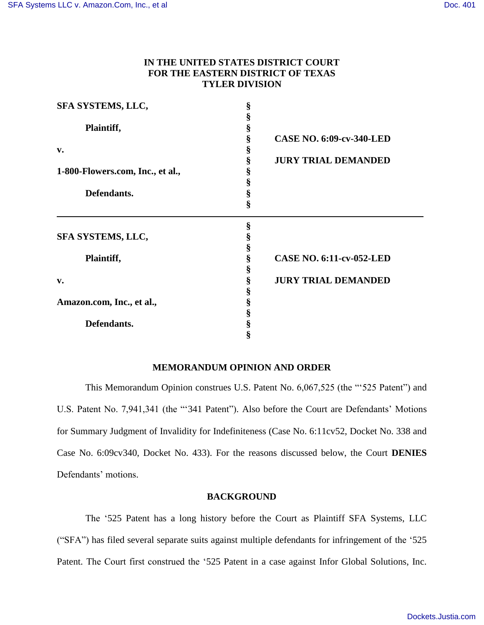# **IN THE UNITED STATES DISTRICT COURT FOR THE EASTERN DISTRICT OF TEXAS TYLER DIVISION**

| SFA SYSTEMS, LLC,                | § |                                 |  |
|----------------------------------|---|---------------------------------|--|
|                                  | § |                                 |  |
| Plaintiff,                       | § |                                 |  |
|                                  | § | <b>CASE NO. 6:09-cv-340-LED</b> |  |
| v.                               | § |                                 |  |
|                                  | § | <b>JURY TRIAL DEMANDED</b>      |  |
| 1-800-Flowers.com, Inc., et al., | § |                                 |  |
|                                  | § |                                 |  |
| Defendants.                      | § |                                 |  |
|                                  | § |                                 |  |
|                                  | § |                                 |  |
| SFA SYSTEMS, LLC,                | § |                                 |  |
|                                  | § |                                 |  |
| Plaintiff,                       | § | <b>CASE NO. 6:11-cv-052-LED</b> |  |
|                                  | § |                                 |  |
| v.                               | § | <b>JURY TRIAL DEMANDED</b>      |  |
|                                  | § |                                 |  |
| Amazon.com, Inc., et al.,        | § |                                 |  |
|                                  | ş |                                 |  |
| Defendants.                      | § |                                 |  |
|                                  | ş |                                 |  |

# **MEMORANDUM OPINION AND ORDER**

This Memorandum Opinion construes U.S. Patent No. 6,067,525 (the "'525 Patent") and U.S. Patent No. 7,941,341 (the "'341 Patent"). Also before the Court are Defendants' Motions for Summary Judgment of Invalidity for Indefiniteness (Case No. 6:11cv52, Docket No. 338 and Case No. 6:09cv340, Docket No. 433). For the reasons discussed below, the Court **DENIES** Defendants' motions.

# **BACKGROUND**

The '525 Patent has a long history before the Court as Plaintiff SFA Systems, LLC ("SFA") has filed several separate suits against multiple defendants for infringement of the '525 Patent. The Court first construed the '525 Patent in a case against Infor Global Solutions, Inc.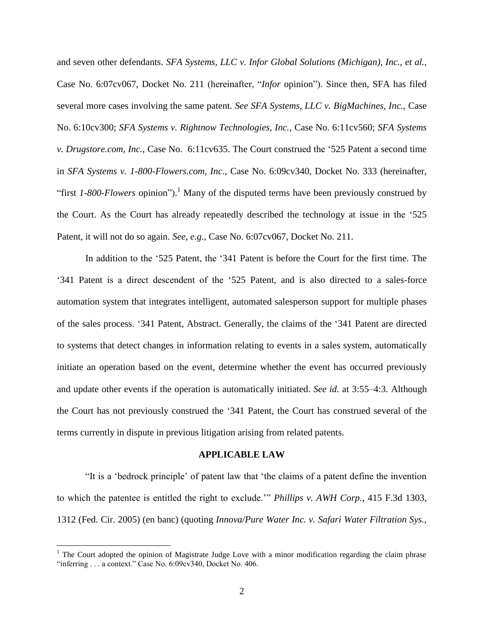and seven other defendants. *SFA Systems, LLC v. Infor Global Solutions (Michigan), Inc., et al.*, Case No. 6:07cv067, Docket No. 211 (hereinafter, "*Infor* opinion"). Since then, SFA has filed several more cases involving the same patent. *See SFA Systems, LLC v. BigMachines, Inc.,* Case No. 6:10cv300; *SFA Systems v. Rightnow Technologies, Inc.*, Case No. 6:11cv560; *SFA Systems v. Drugstore.com, Inc.*, Case No. 6:11cv635. The Court construed the '525 Patent a second time in *SFA Systems v. 1-800-Flowers.com, Inc*., Case No. 6:09cv340, Docket No. 333 (hereinafter, "first *1-800-Flowers* opinion"). <sup>1</sup> Many of the disputed terms have been previously construed by the Court. As the Court has already repeatedly described the technology at issue in the '525 Patent, it will not do so again. *See, e.g.*, Case No. 6:07cv067, Docket No. 211.

In addition to the '525 Patent, the '341 Patent is before the Court for the first time. The '341 Patent is a direct descendent of the '525 Patent, and is also directed to a sales-force automation system that integrates intelligent, automated salesperson support for multiple phases of the sales process. '341 Patent, Abstract. Generally, the claims of the '341 Patent are directed to systems that detect changes in information relating to events in a sales system, automatically initiate an operation based on the event, determine whether the event has occurred previously and update other events if the operation is automatically initiated. *See id.* at 3:55–4:3. Although the Court has not previously construed the '341 Patent, the Court has construed several of the terms currently in dispute in previous litigation arising from related patents.

#### **APPLICABLE LAW**

"It is a 'bedrock principle' of patent law that 'the claims of a patent define the invention to which the patentee is entitled the right to exclude.'" *Phillips v. AWH Corp.*, 415 F.3d 1303, 1312 (Fed. Cir. 2005) (en banc) (quoting *Innova/Pure Water Inc. v. Safari Water Filtration Sys.,* 

 $\overline{a}$ 

<sup>&</sup>lt;sup>1</sup> The Court adopted the opinion of Magistrate Judge Love with a minor modification regarding the claim phrase "inferring . . . a context." Case No. 6:09cv340, Docket No. 406.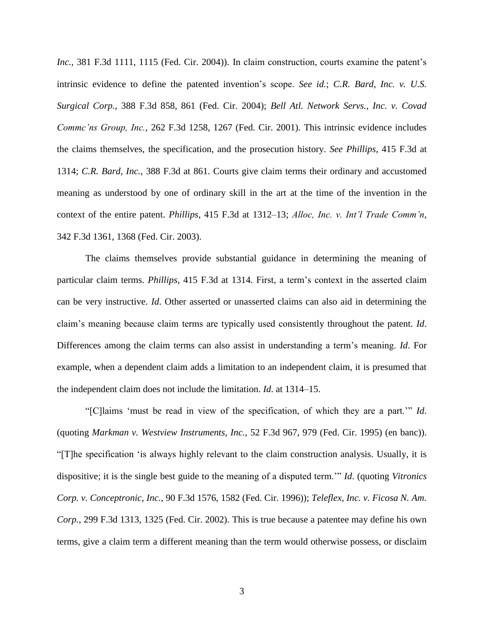*Inc.*, 381 F.3d 1111, 1115 (Fed. Cir. 2004)). In claim construction, courts examine the patent's intrinsic evidence to define the patented invention's scope. *See id.*; *C.R. Bard, Inc. v. U.S. Surgical Corp.*, 388 F.3d 858, 861 (Fed. Cir. 2004); *Bell Atl. Network Servs., Inc. v. Covad Commc'ns Group, Inc.*, 262 F.3d 1258, 1267 (Fed. Cir. 2001). This intrinsic evidence includes the claims themselves, the specification, and the prosecution history. *See Phillips*, 415 F.3d at 1314; *C.R. Bard, Inc.*, 388 F.3d at 861. Courts give claim terms their ordinary and accustomed meaning as understood by one of ordinary skill in the art at the time of the invention in the context of the entire patent. *Phillips*, 415 F.3d at 1312–13; *Alloc, Inc. v. Int'l Trade Comm'n*, 342 F.3d 1361, 1368 (Fed. Cir. 2003).

The claims themselves provide substantial guidance in determining the meaning of particular claim terms. *Phillips*, 415 F.3d at 1314. First, a term's context in the asserted claim can be very instructive. *Id*. Other asserted or unasserted claims can also aid in determining the claim's meaning because claim terms are typically used consistently throughout the patent. *Id*. Differences among the claim terms can also assist in understanding a term's meaning. *Id*. For example, when a dependent claim adds a limitation to an independent claim, it is presumed that the independent claim does not include the limitation. *Id*. at 1314–15.

"[C]laims 'must be read in view of the specification, of which they are a part.'" *Id*. (quoting *Markman v. Westview Instruments, Inc.*, 52 F.3d 967, 979 (Fed. Cir. 1995) (en banc)). "[T]he specification 'is always highly relevant to the claim construction analysis. Usually, it is dispositive; it is the single best guide to the meaning of a disputed term.'" *Id*. (quoting *Vitronics Corp. v. Conceptronic, Inc.*, 90 F.3d 1576, 1582 (Fed. Cir. 1996)); *Teleflex, Inc. v. Ficosa N. Am. Corp.*, 299 F.3d 1313, 1325 (Fed. Cir. 2002). This is true because a patentee may define his own terms, give a claim term a different meaning than the term would otherwise possess, or disclaim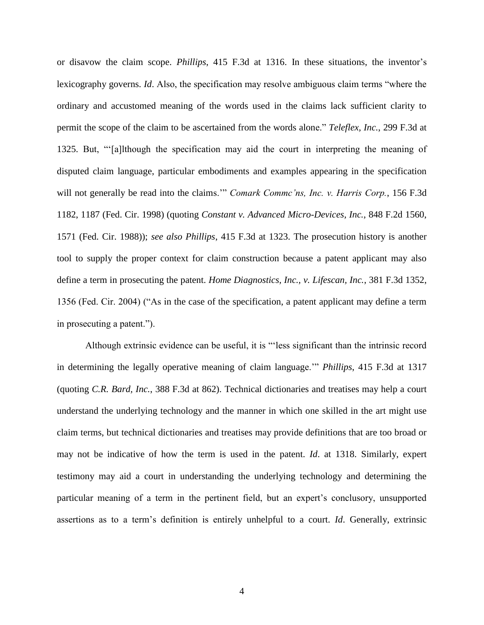or disavow the claim scope. *Phillips*, 415 F.3d at 1316. In these situations, the inventor's lexicography governs. *Id*. Also, the specification may resolve ambiguous claim terms "where the ordinary and accustomed meaning of the words used in the claims lack sufficient clarity to permit the scope of the claim to be ascertained from the words alone." *Teleflex, Inc.*, 299 F.3d at 1325. But, "'[a]lthough the specification may aid the court in interpreting the meaning of disputed claim language, particular embodiments and examples appearing in the specification will not generally be read into the claims.'" *Comark Commc'ns, Inc. v. Harris Corp.*, 156 F.3d 1182, 1187 (Fed. Cir. 1998) (quoting *Constant v. Advanced Micro-Devices, Inc.*, 848 F.2d 1560, 1571 (Fed. Cir. 1988)); *see also Phillips*, 415 F.3d at 1323. The prosecution history is another tool to supply the proper context for claim construction because a patent applicant may also define a term in prosecuting the patent. *Home Diagnostics, Inc., v. Lifescan, Inc.*, 381 F.3d 1352, 1356 (Fed. Cir. 2004) ("As in the case of the specification, a patent applicant may define a term in prosecuting a patent.").

Although extrinsic evidence can be useful, it is "'less significant than the intrinsic record in determining the legally operative meaning of claim language.'" *Phillips*, 415 F.3d at 1317 (quoting *C.R. Bard, Inc.*, 388 F.3d at 862). Technical dictionaries and treatises may help a court understand the underlying technology and the manner in which one skilled in the art might use claim terms, but technical dictionaries and treatises may provide definitions that are too broad or may not be indicative of how the term is used in the patent. *Id*. at 1318. Similarly, expert testimony may aid a court in understanding the underlying technology and determining the particular meaning of a term in the pertinent field, but an expert's conclusory, unsupported assertions as to a term's definition is entirely unhelpful to a court. *Id*. Generally, extrinsic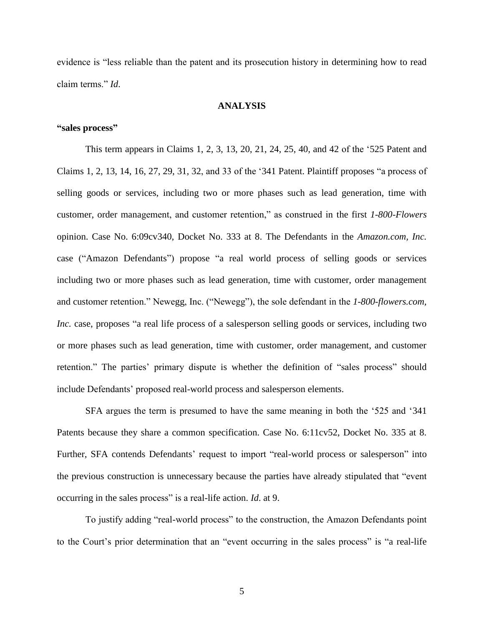evidence is "less reliable than the patent and its prosecution history in determining how to read claim terms." *Id*.

# **ANALYSIS**

# **"sales process"**

This term appears in Claims 1, 2, 3, 13, 20, 21, 24, 25, 40, and 42 of the '525 Patent and Claims 1, 2, 13, 14, 16, 27, 29, 31, 32, and 33 of the '341 Patent. Plaintiff proposes "a process of selling goods or services, including two or more phases such as lead generation, time with customer, order management, and customer retention," as construed in the first *1-800-Flowers* opinion. Case No. 6:09cv340, Docket No. 333 at 8. The Defendants in the *Amazon.com, Inc.* case ("Amazon Defendants") propose "a real world process of selling goods or services including two or more phases such as lead generation, time with customer, order management and customer retention." Newegg, Inc. ("Newegg"), the sole defendant in the *1-800-flowers.com, Inc.* case, proposes "a real life process of a salesperson selling goods or services, including two or more phases such as lead generation, time with customer, order management, and customer retention." The parties' primary dispute is whether the definition of "sales process" should include Defendants' proposed real-world process and salesperson elements.

SFA argues the term is presumed to have the same meaning in both the '525 and '341 Patents because they share a common specification. Case No. 6:11cv52, Docket No. 335 at 8. Further, SFA contends Defendants' request to import "real-world process or salesperson" into the previous construction is unnecessary because the parties have already stipulated that "event occurring in the sales process" is a real-life action. *Id*. at 9.

To justify adding "real-world process" to the construction, the Amazon Defendants point to the Court's prior determination that an "event occurring in the sales process" is "a real-life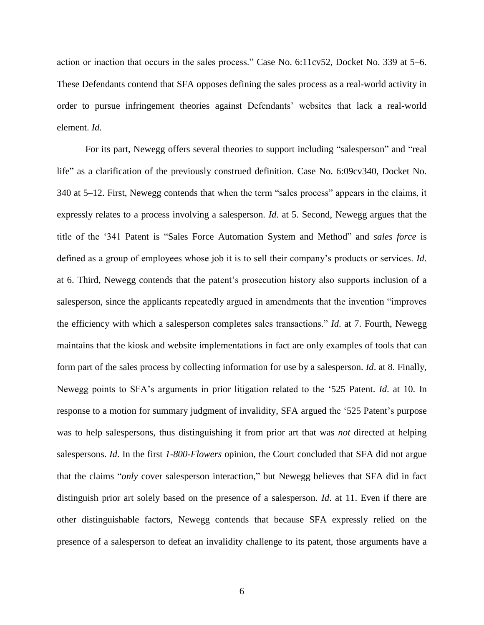action or inaction that occurs in the sales process." Case No. 6:11cv52, Docket No. 339 at 5–6. These Defendants contend that SFA opposes defining the sales process as a real-world activity in order to pursue infringement theories against Defendants' websites that lack a real-world element. *Id*.

For its part, Newegg offers several theories to support including "salesperson" and "real life" as a clarification of the previously construed definition. Case No. 6:09cv340, Docket No. 340 at 5–12. First, Newegg contends that when the term "sales process" appears in the claims, it expressly relates to a process involving a salesperson. *Id*. at 5. Second, Newegg argues that the title of the '341 Patent is "Sales Force Automation System and Method" and *sales force* is defined as a group of employees whose job it is to sell their company's products or services. *Id*. at 6. Third, Newegg contends that the patent's prosecution history also supports inclusion of a salesperson, since the applicants repeatedly argued in amendments that the invention "improves the efficiency with which a salesperson completes sales transactions." *Id*. at 7. Fourth, Newegg maintains that the kiosk and website implementations in fact are only examples of tools that can form part of the sales process by collecting information for use by a salesperson. *Id*. at 8. Finally, Newegg points to SFA's arguments in prior litigation related to the '525 Patent. *Id*. at 10. In response to a motion for summary judgment of invalidity, SFA argued the '525 Patent's purpose was to help salespersons, thus distinguishing it from prior art that was *not* directed at helping salespersons. *Id*. In the first *1-800-Flowers* opinion, the Court concluded that SFA did not argue that the claims "*only* cover salesperson interaction," but Newegg believes that SFA did in fact distinguish prior art solely based on the presence of a salesperson. *Id*. at 11. Even if there are other distinguishable factors, Newegg contends that because SFA expressly relied on the presence of a salesperson to defeat an invalidity challenge to its patent, those arguments have a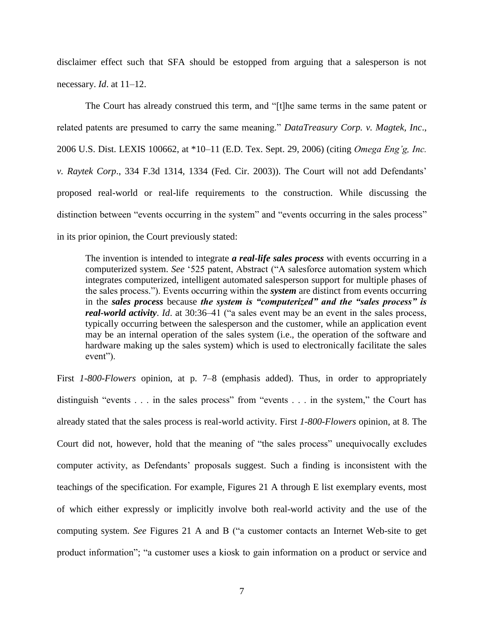disclaimer effect such that SFA should be estopped from arguing that a salesperson is not necessary. *Id*. at 11–12.

The Court has already construed this term, and "[t]he same terms in the same patent or related patents are presumed to carry the same meaning." *DataTreasury Corp. v. Magtek, Inc*., 2006 U.S. Dist. LEXIS 100662, at \*10–11 (E.D. Tex. Sept. 29, 2006) (citing *Omega Eng'g, Inc. v. Raytek Corp*., 334 F.3d 1314, 1334 (Fed. Cir. 2003)). The Court will not add Defendants' proposed real-world or real-life requirements to the construction. While discussing the distinction between "events occurring in the system" and "events occurring in the sales process" in its prior opinion, the Court previously stated:

The invention is intended to integrate *a real-life sales process* with events occurring in a computerized system. *See* '525 patent, Abstract ("A salesforce automation system which integrates computerized, intelligent automated salesperson support for multiple phases of the sales process."). Events occurring within the *system* are distinct from events occurring in the *sales process* because *the system is "computerized" and the "sales process" is real-world activity*. *Id*. at 30:36–41 ("a sales event may be an event in the sales process, typically occurring between the salesperson and the customer, while an application event may be an internal operation of the sales system (i.e., the operation of the software and hardware making up the sales system) which is used to electronically facilitate the sales event").

First *1-800-Flowers* opinion, at p. 7–8 (emphasis added). Thus, in order to appropriately distinguish "events . . . in the sales process" from "events . . . in the system," the Court has already stated that the sales process is real-world activity. First *1-800-Flowers* opinion*,* at 8. The Court did not, however, hold that the meaning of "the sales process" unequivocally excludes computer activity, as Defendants' proposals suggest. Such a finding is inconsistent with the teachings of the specification. For example, Figures 21 A through E list exemplary events, most of which either expressly or implicitly involve both real-world activity and the use of the computing system. *See* Figures 21 A and B ("a customer contacts an Internet Web-site to get product information"; "a customer uses a kiosk to gain information on a product or service and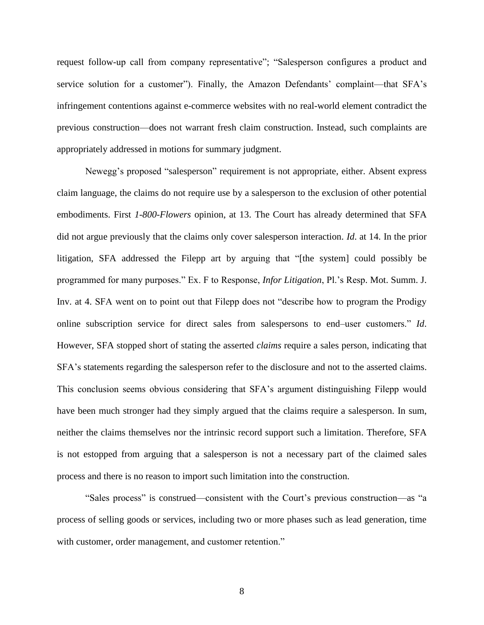request follow-up call from company representative"; "Salesperson configures a product and service solution for a customer"). Finally, the Amazon Defendants' complaint—that SFA's infringement contentions against e-commerce websites with no real-world element contradict the previous construction—does not warrant fresh claim construction. Instead, such complaints are appropriately addressed in motions for summary judgment.

Newegg's proposed "salesperson" requirement is not appropriate, either. Absent express claim language, the claims do not require use by a salesperson to the exclusion of other potential embodiments. First *1-800-Flowers* opinion, at 13. The Court has already determined that SFA did not argue previously that the claims only cover salesperson interaction. *Id*. at 14. In the prior litigation, SFA addressed the Filepp art by arguing that "[the system] could possibly be programmed for many purposes." Ex. F to Response, *Infor Litigation*, Pl.'s Resp. Mot. Summ. J. Inv. at 4. SFA went on to point out that Filepp does not "describe how to program the Prodigy online subscription service for direct sales from salespersons to end–user customers." *Id*. However, SFA stopped short of stating the asserted *claims* require a sales person, indicating that SFA's statements regarding the salesperson refer to the disclosure and not to the asserted claims. This conclusion seems obvious considering that SFA's argument distinguishing Filepp would have been much stronger had they simply argued that the claims require a salesperson. In sum, neither the claims themselves nor the intrinsic record support such a limitation. Therefore, SFA is not estopped from arguing that a salesperson is not a necessary part of the claimed sales process and there is no reason to import such limitation into the construction.

"Sales process" is construed—consistent with the Court's previous construction—as "a process of selling goods or services, including two or more phases such as lead generation, time with customer, order management, and customer retention."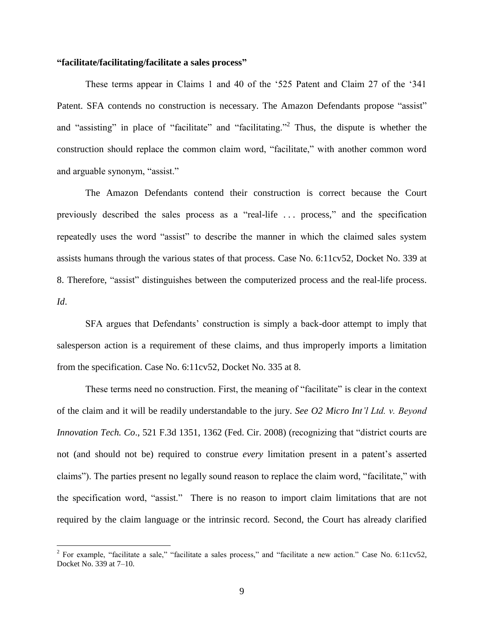# **"facilitate/facilitating/facilitate a sales process"**

These terms appear in Claims 1 and 40 of the '525 Patent and Claim 27 of the '341 Patent. SFA contends no construction is necessary. The Amazon Defendants propose "assist" and "assisting" in place of "facilitate" and "facilitating."<sup>2</sup> Thus, the dispute is whether the construction should replace the common claim word, "facilitate," with another common word and arguable synonym, "assist."

The Amazon Defendants contend their construction is correct because the Court previously described the sales process as a "real-life . . . process," and the specification repeatedly uses the word "assist" to describe the manner in which the claimed sales system assists humans through the various states of that process. Case No. 6:11cv52, Docket No. 339 at 8. Therefore, "assist" distinguishes between the computerized process and the real-life process. *Id*.

SFA argues that Defendants' construction is simply a back-door attempt to imply that salesperson action is a requirement of these claims, and thus improperly imports a limitation from the specification. Case No. 6:11cv52, Docket No. 335 at 8.

These terms need no construction. First, the meaning of "facilitate" is clear in the context of the claim and it will be readily understandable to the jury. *See O2 Micro Int'l Ltd. v. Beyond Innovation Tech. Co*., 521 F.3d 1351, 1362 (Fed. Cir. 2008) (recognizing that "district courts are not (and should not be) required to construe *every* limitation present in a patent's asserted claims"). The parties present no legally sound reason to replace the claim word, "facilitate," with the specification word, "assist." There is no reason to import claim limitations that are not required by the claim language or the intrinsic record. Second, the Court has already clarified

 $\overline{a}$ 

<sup>&</sup>lt;sup>2</sup> For example, "facilitate a sale," "facilitate a sales process," and "facilitate a new action." Case No. 6:11cv52, Docket No. 339 at 7–10.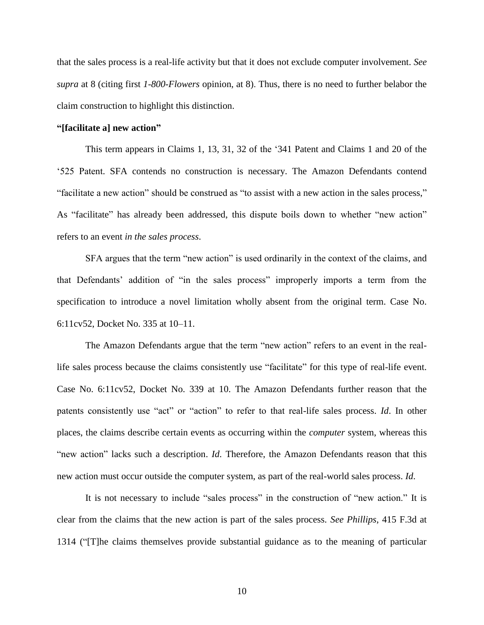that the sales process is a real-life activity but that it does not exclude computer involvement. *See supra* at 8 (citing first *1-800-Flowers* opinion, at 8). Thus, there is no need to further belabor the claim construction to highlight this distinction.

#### **"[facilitate a] new action"**

This term appears in Claims 1, 13, 31, 32 of the '341 Patent and Claims 1 and 20 of the '525 Patent. SFA contends no construction is necessary. The Amazon Defendants contend "facilitate a new action" should be construed as "to assist with a new action in the sales process," As "facilitate" has already been addressed, this dispute boils down to whether "new action" refers to an event *in the sales process*.

SFA argues that the term "new action" is used ordinarily in the context of the claims, and that Defendants' addition of "in the sales process" improperly imports a term from the specification to introduce a novel limitation wholly absent from the original term. Case No. 6:11cv52, Docket No. 335 at 10–11.

The Amazon Defendants argue that the term "new action" refers to an event in the reallife sales process because the claims consistently use "facilitate" for this type of real-life event. Case No. 6:11cv52, Docket No. 339 at 10. The Amazon Defendants further reason that the patents consistently use "act" or "action" to refer to that real-life sales process. *Id*. In other places, the claims describe certain events as occurring within the *computer* system, whereas this "new action" lacks such a description. *Id*. Therefore, the Amazon Defendants reason that this new action must occur outside the computer system, as part of the real-world sales process. *Id*.

It is not necessary to include "sales process" in the construction of "new action." It is clear from the claims that the new action is part of the sales process. *See Phillips*, 415 F.3d at 1314 ("[T]he claims themselves provide substantial guidance as to the meaning of particular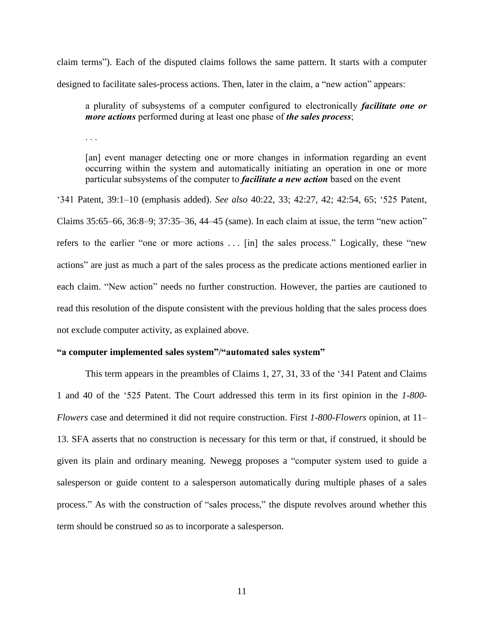claim terms"). Each of the disputed claims follows the same pattern. It starts with a computer designed to facilitate sales-process actions. Then, later in the claim, a "new action" appears:

a plurality of subsystems of a computer configured to electronically *facilitate one or more actions* performed during at least one phase of *the sales process*;

. . .

[an] event manager detecting one or more changes in information regarding an event occurring within the system and automatically initiating an operation in one or more particular subsystems of the computer to *facilitate a new action* based on the event

'341 Patent, 39:1–10 (emphasis added). *See also* 40:22, 33; 42:27, 42; 42:54, 65; '525 Patent, Claims 35:65–66, 36:8–9; 37:35–36, 44–45 (same). In each claim at issue, the term "new action" refers to the earlier "one or more actions . . . [in] the sales process." Logically, these "new actions" are just as much a part of the sales process as the predicate actions mentioned earlier in each claim. "New action" needs no further construction. However, the parties are cautioned to read this resolution of the dispute consistent with the previous holding that the sales process does not exclude computer activity, as explained above.

#### **"a computer implemented sales system"/"automated sales system"**

This term appears in the preambles of Claims 1, 27, 31, 33 of the '341 Patent and Claims 1 and 40 of the '525 Patent. The Court addressed this term in its first opinion in the *1-800- Flowers* case and determined it did not require construction. First *1-800-Flowers* opinion, at 11– 13. SFA asserts that no construction is necessary for this term or that, if construed, it should be given its plain and ordinary meaning. Newegg proposes a "computer system used to guide a salesperson or guide content to a salesperson automatically during multiple phases of a sales process." As with the construction of "sales process," the dispute revolves around whether this term should be construed so as to incorporate a salesperson.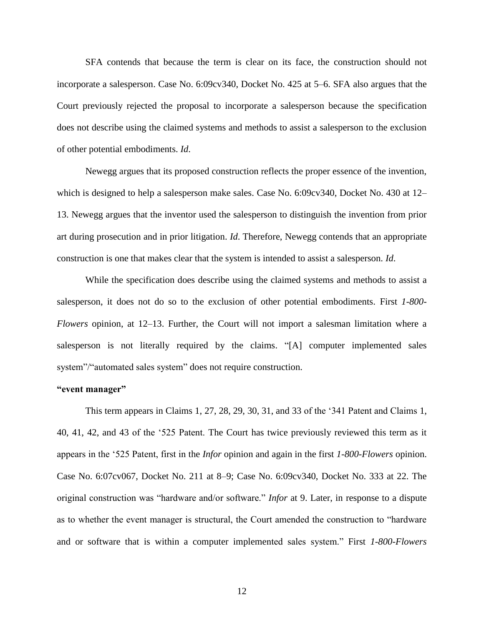SFA contends that because the term is clear on its face, the construction should not incorporate a salesperson. Case No. 6:09cv340, Docket No. 425 at 5–6. SFA also argues that the Court previously rejected the proposal to incorporate a salesperson because the specification does not describe using the claimed systems and methods to assist a salesperson to the exclusion of other potential embodiments. *Id*.

Newegg argues that its proposed construction reflects the proper essence of the invention, which is designed to help a salesperson make sales. Case No. 6:09cv340, Docket No. 430 at 12– 13. Newegg argues that the inventor used the salesperson to distinguish the invention from prior art during prosecution and in prior litigation. *Id*. Therefore, Newegg contends that an appropriate construction is one that makes clear that the system is intended to assist a salesperson. *Id*.

While the specification does describe using the claimed systems and methods to assist a salesperson, it does not do so to the exclusion of other potential embodiments. First *1-800- Flowers* opinion, at 12–13. Further, the Court will not import a salesman limitation where a salesperson is not literally required by the claims. "[A] computer implemented sales system"/"automated sales system" does not require construction.

#### **"event manager"**

This term appears in Claims 1, 27, 28, 29, 30, 31, and 33 of the '341 Patent and Claims 1, 40, 41, 42, and 43 of the '525 Patent. The Court has twice previously reviewed this term as it appears in the '525 Patent, first in the *Infor* opinion and again in the first *1-800-Flowers* opinion. Case No. 6:07cv067, Docket No. 211 at 8–9; Case No. 6:09cv340, Docket No. 333 at 22. The original construction was "hardware and/or software." *Infor* at 9. Later, in response to a dispute as to whether the event manager is structural, the Court amended the construction to "hardware and or software that is within a computer implemented sales system." First *1-800-Flowers*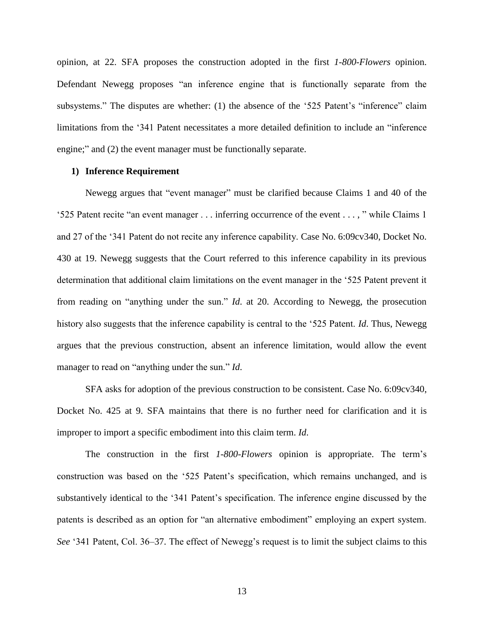opinion, at 22. SFA proposes the construction adopted in the first *1-800-Flowers* opinion. Defendant Newegg proposes "an inference engine that is functionally separate from the subsystems." The disputes are whether: (1) the absence of the '525 Patent's "inference" claim limitations from the '341 Patent necessitates a more detailed definition to include an "inference engine;" and (2) the event manager must be functionally separate.

## **1) Inference Requirement**

Newegg argues that "event manager" must be clarified because Claims 1 and 40 of the '525 Patent recite "an event manager . . . inferring occurrence of the event . . . , " while Claims 1 and 27 of the '341 Patent do not recite any inference capability. Case No. 6:09cv340, Docket No. 430 at 19. Newegg suggests that the Court referred to this inference capability in its previous determination that additional claim limitations on the event manager in the '525 Patent prevent it from reading on "anything under the sun." *Id*. at 20. According to Newegg, the prosecution history also suggests that the inference capability is central to the '525 Patent. *Id*. Thus, Newegg argues that the previous construction, absent an inference limitation, would allow the event manager to read on "anything under the sun." *Id*.

SFA asks for adoption of the previous construction to be consistent. Case No. 6:09cv340, Docket No. 425 at 9. SFA maintains that there is no further need for clarification and it is improper to import a specific embodiment into this claim term. *Id*.

The construction in the first *1-800-Flowers* opinion is appropriate. The term's construction was based on the '525 Patent's specification, which remains unchanged, and is substantively identical to the '341 Patent's specification. The inference engine discussed by the patents is described as an option for "an alternative embodiment" employing an expert system. *See* '341 Patent, Col. 36–37. The effect of Newegg's request is to limit the subject claims to this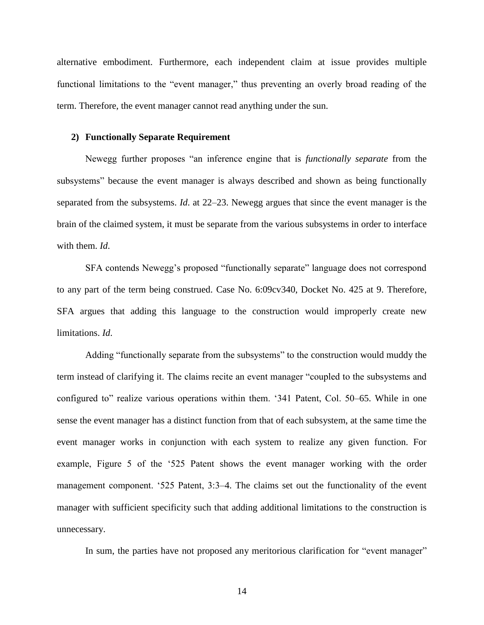alternative embodiment. Furthermore, each independent claim at issue provides multiple functional limitations to the "event manager," thus preventing an overly broad reading of the term. Therefore, the event manager cannot read anything under the sun.

# **2) Functionally Separate Requirement**

Newegg further proposes "an inference engine that is *functionally separate* from the subsystems" because the event manager is always described and shown as being functionally separated from the subsystems. *Id*. at 22–23. Newegg argues that since the event manager is the brain of the claimed system, it must be separate from the various subsystems in order to interface with them. *Id*.

SFA contends Newegg's proposed "functionally separate" language does not correspond to any part of the term being construed. Case No. 6:09cv340, Docket No. 425 at 9. Therefore, SFA argues that adding this language to the construction would improperly create new limitations. *Id*.

Adding "functionally separate from the subsystems" to the construction would muddy the term instead of clarifying it. The claims recite an event manager "coupled to the subsystems and configured to" realize various operations within them. '341 Patent, Col. 50–65. While in one sense the event manager has a distinct function from that of each subsystem, at the same time the event manager works in conjunction with each system to realize any given function. For example, Figure 5 of the '525 Patent shows the event manager working with the order management component. '525 Patent, 3:3–4. The claims set out the functionality of the event manager with sufficient specificity such that adding additional limitations to the construction is unnecessary.

In sum, the parties have not proposed any meritorious clarification for "event manager"

14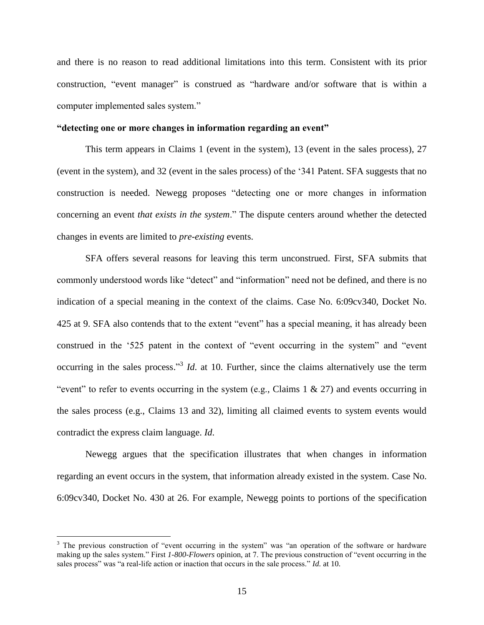and there is no reason to read additional limitations into this term. Consistent with its prior construction, "event manager" is construed as "hardware and/or software that is within a computer implemented sales system."

#### **"detecting one or more changes in information regarding an event"**

This term appears in Claims 1 (event in the system), 13 (event in the sales process), 27 (event in the system), and 32 (event in the sales process) of the '341 Patent. SFA suggests that no construction is needed. Newegg proposes "detecting one or more changes in information concerning an event *that exists in the system*." The dispute centers around whether the detected changes in events are limited to *pre-existing* events.

SFA offers several reasons for leaving this term unconstrued. First, SFA submits that commonly understood words like "detect" and "information" need not be defined, and there is no indication of a special meaning in the context of the claims. Case No. 6:09cv340, Docket No. 425 at 9. SFA also contends that to the extent "event" has a special meaning, it has already been construed in the '525 patent in the context of "event occurring in the system" and "event occurring in the sales process.<sup>33</sup> *Id*. at 10. Further, since the claims alternatively use the term "event" to refer to events occurring in the system (e.g., Claims  $1 \& 27$ ) and events occurring in the sales process (e.g., Claims 13 and 32), limiting all claimed events to system events would contradict the express claim language. *Id*.

Newegg argues that the specification illustrates that when changes in information regarding an event occurs in the system, that information already existed in the system. Case No. 6:09cv340, Docket No. 430 at 26. For example, Newegg points to portions of the specification

 $\overline{a}$ 

<sup>&</sup>lt;sup>3</sup> The previous construction of "event occurring in the system" was "an operation of the software or hardware making up the sales system." First *1-800-Flowers* opinion, at 7. The previous construction of "event occurring in the sales process" was "a real-life action or inaction that occurs in the sale process." *Id.* at 10.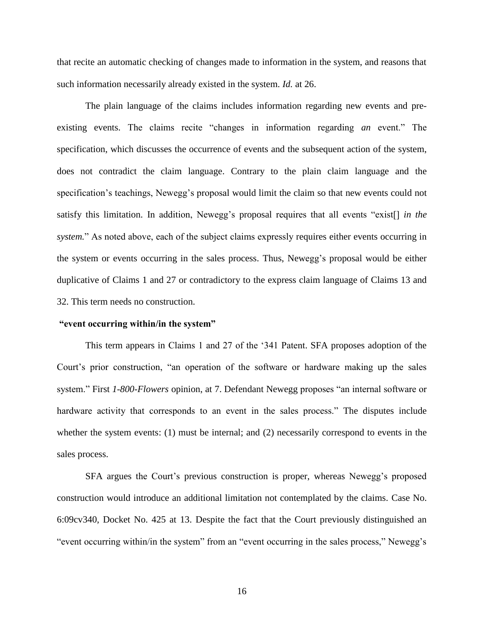that recite an automatic checking of changes made to information in the system, and reasons that such information necessarily already existed in the system. *Id.* at 26.

The plain language of the claims includes information regarding new events and preexisting events. The claims recite "changes in information regarding *an* event." The specification, which discusses the occurrence of events and the subsequent action of the system, does not contradict the claim language. Contrary to the plain claim language and the specification's teachings, Newegg's proposal would limit the claim so that new events could not satisfy this limitation. In addition, Newegg's proposal requires that all events "exist[] *in the system.*" As noted above, each of the subject claims expressly requires either events occurring in the system or events occurring in the sales process. Thus, Newegg's proposal would be either duplicative of Claims 1 and 27 or contradictory to the express claim language of Claims 13 and 32. This term needs no construction.

#### **"event occurring within/in the system"**

This term appears in Claims 1 and 27 of the '341 Patent. SFA proposes adoption of the Court's prior construction, "an operation of the software or hardware making up the sales system." First *1-800-Flowers* opinion, at 7. Defendant Newegg proposes "an internal software or hardware activity that corresponds to an event in the sales process." The disputes include whether the system events: (1) must be internal; and (2) necessarily correspond to events in the sales process.

SFA argues the Court's previous construction is proper, whereas Newegg's proposed construction would introduce an additional limitation not contemplated by the claims. Case No. 6:09cv340, Docket No. 425 at 13. Despite the fact that the Court previously distinguished an "event occurring within/in the system" from an "event occurring in the sales process," Newegg's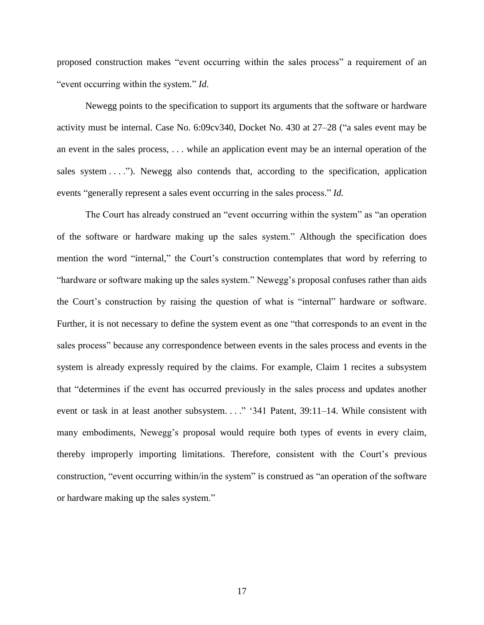proposed construction makes "event occurring within the sales process" a requirement of an "event occurring within the system." *Id*.

Newegg points to the specification to support its arguments that the software or hardware activity must be internal. Case No. 6:09cv340, Docket No. 430 at 27–28 ("a sales event may be an event in the sales process, . . . while an application event may be an internal operation of the sales system  $\dots$ ."). Newegg also contends that, according to the specification, application events "generally represent a sales event occurring in the sales process." *Id.*

The Court has already construed an "event occurring within the system" as "an operation of the software or hardware making up the sales system." Although the specification does mention the word "internal," the Court's construction contemplates that word by referring to "hardware or software making up the sales system." Newegg's proposal confuses rather than aids the Court's construction by raising the question of what is "internal" hardware or software. Further, it is not necessary to define the system event as one "that corresponds to an event in the sales process" because any correspondence between events in the sales process and events in the system is already expressly required by the claims. For example, Claim 1 recites a subsystem that "determines if the event has occurred previously in the sales process and updates another event or task in at least another subsystem. . . ." '341 Patent, 39:11-14. While consistent with many embodiments, Newegg's proposal would require both types of events in every claim, thereby improperly importing limitations. Therefore, consistent with the Court's previous construction, "event occurring within/in the system" is construed as "an operation of the software or hardware making up the sales system."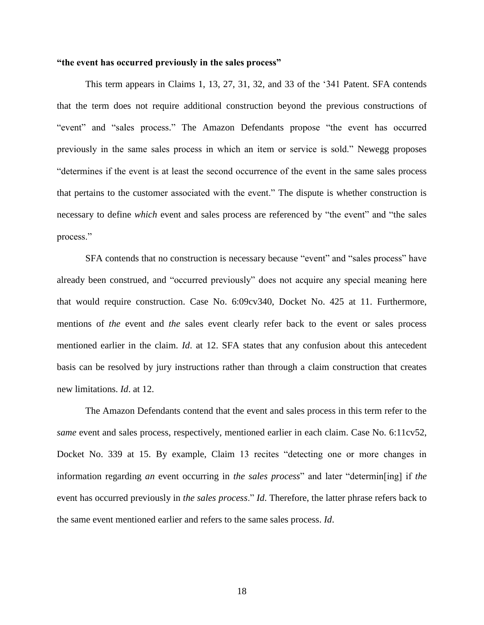#### **"the event has occurred previously in the sales process"**

This term appears in Claims 1, 13, 27, 31, 32, and 33 of the '341 Patent. SFA contends that the term does not require additional construction beyond the previous constructions of "event" and "sales process." The Amazon Defendants propose "the event has occurred previously in the same sales process in which an item or service is sold." Newegg proposes "determines if the event is at least the second occurrence of the event in the same sales process that pertains to the customer associated with the event." The dispute is whether construction is necessary to define *which* event and sales process are referenced by "the event" and "the sales process."

SFA contends that no construction is necessary because "event" and "sales process" have already been construed, and "occurred previously" does not acquire any special meaning here that would require construction. Case No. 6:09cv340, Docket No. 425 at 11. Furthermore, mentions of *the* event and *the* sales event clearly refer back to the event or sales process mentioned earlier in the claim. *Id*. at 12. SFA states that any confusion about this antecedent basis can be resolved by jury instructions rather than through a claim construction that creates new limitations. *Id*. at 12.

The Amazon Defendants contend that the event and sales process in this term refer to the *same* event and sales process, respectively, mentioned earlier in each claim. Case No. 6:11cv52, Docket No. 339 at 15. By example, Claim 13 recites "detecting one or more changes in information regarding *an* event occurring in *the sales process*" and later "determin[ing] if *the* event has occurred previously in *the sales process*." *Id*. Therefore, the latter phrase refers back to the same event mentioned earlier and refers to the same sales process. *Id*.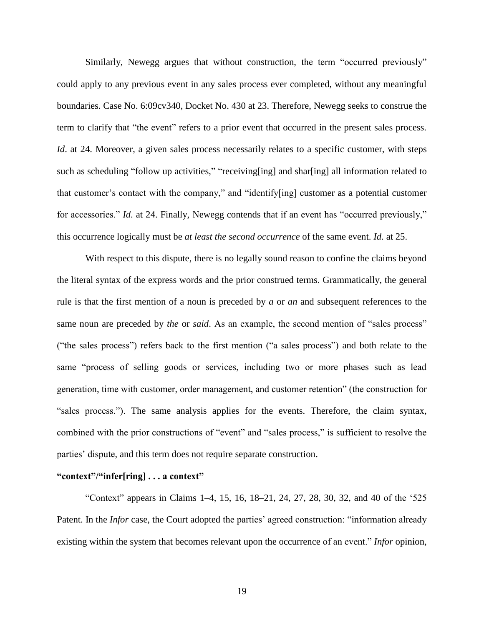Similarly, Newegg argues that without construction, the term "occurred previously" could apply to any previous event in any sales process ever completed, without any meaningful boundaries. Case No. 6:09cv340, Docket No. 430 at 23. Therefore, Newegg seeks to construe the term to clarify that "the event" refers to a prior event that occurred in the present sales process. *Id.* at 24. Moreover, a given sales process necessarily relates to a specific customer, with steps such as scheduling "follow up activities," "receiving[ing] and shar[ing] all information related to that customer's contact with the company," and "identify[ing] customer as a potential customer for accessories." *Id*. at 24. Finally, Newegg contends that if an event has "occurred previously," this occurrence logically must be *at least the second occurrence* of the same event. *Id*. at 25.

With respect to this dispute, there is no legally sound reason to confine the claims beyond the literal syntax of the express words and the prior construed terms. Grammatically, the general rule is that the first mention of a noun is preceded by *a* or *an* and subsequent references to the same noun are preceded by *the* or *said*. As an example, the second mention of "sales process" ("the sales process") refers back to the first mention ("a sales process") and both relate to the same "process of selling goods or services, including two or more phases such as lead generation, time with customer, order management, and customer retention" (the construction for "sales process."). The same analysis applies for the events. Therefore, the claim syntax, combined with the prior constructions of "event" and "sales process," is sufficient to resolve the parties' dispute, and this term does not require separate construction.

#### **"context"/"infer[ring] . . . a context"**

"Context" appears in Claims 1–4, 15, 16, 18–21, 24, 27, 28, 30, 32, and 40 of the '525 Patent. In the *Infor* case, the Court adopted the parties' agreed construction: "information already existing within the system that becomes relevant upon the occurrence of an event." *Infor* opinion,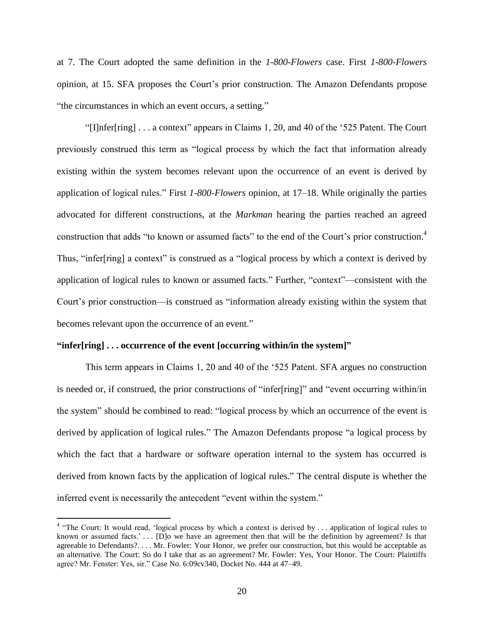at 7. The Court adopted the same definition in the *1-800-Flowers* case. First *1-800-Flowers* opinion, at 15. SFA proposes the Court's prior construction. The Amazon Defendants propose "the circumstances in which an event occurs, a setting."

"[I]nfer[ring] . . . a context" appears in Claims 1, 20, and 40 of the '525 Patent. The Court previously construed this term as "logical process by which the fact that information already existing within the system becomes relevant upon the occurrence of an event is derived by application of logical rules." First *1-800-Flowers* opinion, at 17–18. While originally the parties advocated for different constructions, at the *Markman* hearing the parties reached an agreed construction that adds "to known or assumed facts" to the end of the Court's prior construction. 4 Thus, "infer[ring] a context" is construed as a "logical process by which a context is derived by application of logical rules to known or assumed facts." Further, "context"—consistent with the Court's prior construction—is construed as "information already existing within the system that becomes relevant upon the occurrence of an event."

# **"infer[ring] . . . occurrence of the event [occurring within/in the system]"**

This term appears in Claims 1, 20 and 40 of the '525 Patent. SFA argues no construction is needed or, if construed, the prior constructions of "infer[ring]" and "event occurring within/in the system" should be combined to read: "logical process by which an occurrence of the event is derived by application of logical rules." The Amazon Defendants propose "a logical process by which the fact that a hardware or software operation internal to the system has occurred is derived from known facts by the application of logical rules." The central dispute is whether the inferred event is necessarily the antecedent "event within the system."

 4 "The Court: It would read, 'logical process by which a context is derived by . . . application of logical rules to known or assumed facts.' . . . [D]o we have an agreement then that will be the definition by agreement? Is that agreeable to Defendants?. . . . Mr. Fowler: Your Honor, we prefer our construction, but this would be acceptable as an alternative. The Court: So do I take that as an agreement? Mr. Fowler: Yes, Your Honor. The Court: Plaintiffs agree? Mr. Fenster: Yes, sir." Case No. 6:09cv340, Docket No. 444 at 47–49.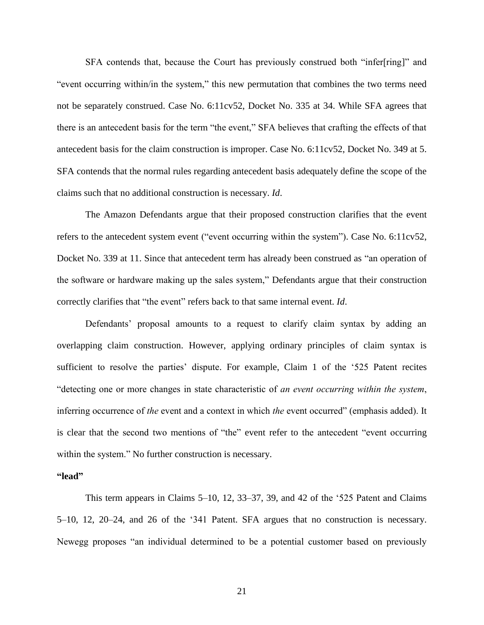SFA contends that, because the Court has previously construed both "infer[ring]" and "event occurring within/in the system," this new permutation that combines the two terms need not be separately construed. Case No. 6:11cv52, Docket No. 335 at 34. While SFA agrees that there is an antecedent basis for the term "the event," SFA believes that crafting the effects of that antecedent basis for the claim construction is improper. Case No. 6:11cv52, Docket No. 349 at 5. SFA contends that the normal rules regarding antecedent basis adequately define the scope of the claims such that no additional construction is necessary. *Id*.

The Amazon Defendants argue that their proposed construction clarifies that the event refers to the antecedent system event ("event occurring within the system"). Case No. 6:11cv52, Docket No. 339 at 11. Since that antecedent term has already been construed as "an operation of the software or hardware making up the sales system," Defendants argue that their construction correctly clarifies that "the event" refers back to that same internal event. *Id*.

Defendants' proposal amounts to a request to clarify claim syntax by adding an overlapping claim construction. However, applying ordinary principles of claim syntax is sufficient to resolve the parties' dispute. For example, Claim 1 of the '525 Patent recites "detecting one or more changes in state characteristic of *an event occurring within the system*, inferring occurrence of *the* event and a context in which *the* event occurred" (emphasis added). It is clear that the second two mentions of "the" event refer to the antecedent "event occurring within the system." No further construction is necessary.

### **"lead"**

This term appears in Claims 5–10, 12, 33–37, 39, and 42 of the '525 Patent and Claims 5–10, 12, 20–24, and 26 of the '341 Patent. SFA argues that no construction is necessary. Newegg proposes "an individual determined to be a potential customer based on previously

21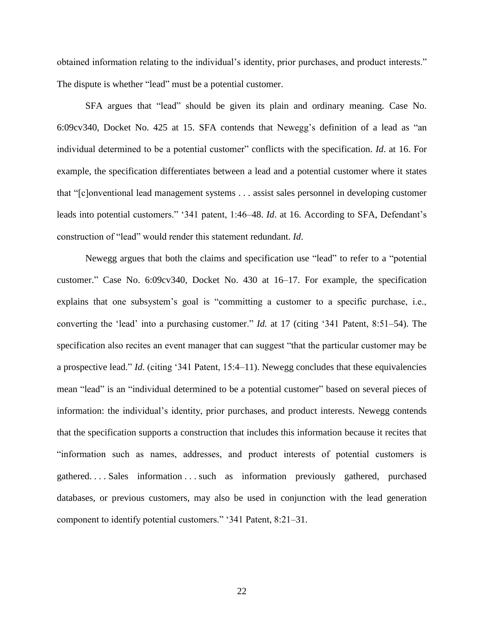obtained information relating to the individual's identity, prior purchases, and product interests." The dispute is whether "lead" must be a potential customer.

SFA argues that "lead" should be given its plain and ordinary meaning. Case No. 6:09cv340, Docket No. 425 at 15. SFA contends that Newegg's definition of a lead as "an individual determined to be a potential customer" conflicts with the specification. *Id*. at 16. For example, the specification differentiates between a lead and a potential customer where it states that "[c]onventional lead management systems . . . assist sales personnel in developing customer leads into potential customers." '341 patent, 1:46–48. *Id*. at 16. According to SFA, Defendant's construction of "lead" would render this statement redundant. *Id*.

Newegg argues that both the claims and specification use "lead" to refer to a "potential customer." Case No. 6:09cv340, Docket No. 430 at 16–17. For example, the specification explains that one subsystem's goal is "committing a customer to a specific purchase, i.e., converting the 'lead' into a purchasing customer." *Id.* at 17 (citing '341 Patent, 8:51–54). The specification also recites an event manager that can suggest "that the particular customer may be a prospective lead." *Id*. (citing '341 Patent, 15:4–11). Newegg concludes that these equivalencies mean "lead" is an "individual determined to be a potential customer" based on several pieces of information: the individual's identity, prior purchases, and product interests. Newegg contends that the specification supports a construction that includes this information because it recites that "information such as names, addresses, and product interests of potential customers is gathered. . . . Sales information . . . such as information previously gathered, purchased databases, or previous customers, may also be used in conjunction with the lead generation component to identify potential customers." '341 Patent, 8:21–31.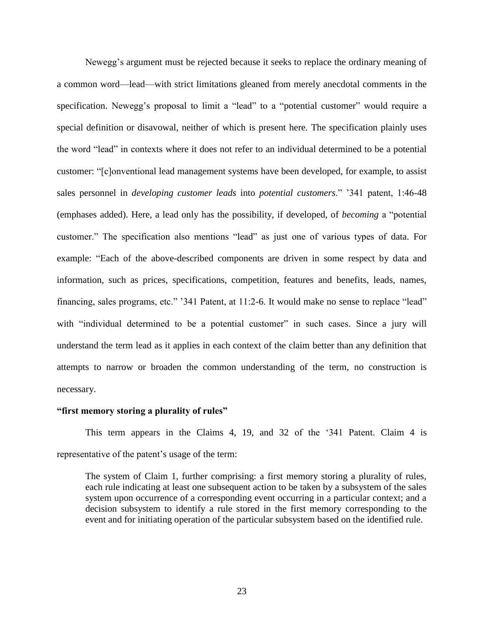Newegg's argument must be rejected because it seeks to replace the ordinary meaning of a common word—lead—with strict limitations gleaned from merely anecdotal comments in the specification. Newegg's proposal to limit a "lead" to a "potential customer" would require a special definition or disavowal, neither of which is present here. The specification plainly uses the word "lead" in contexts where it does not refer to an individual determined to be a potential customer: "[c]onventional lead management systems have been developed, for example, to assist sales personnel in *developing customer leads* into *potential customers*." '341 patent, 1:46-48 (emphases added). Here, a lead only has the possibility, if developed, of *becoming* a "potential customer." The specification also mentions "lead" as just one of various types of data. For example: "Each of the above-described components are driven in some respect by data and information, such as prices, specifications, competition, features and benefits, leads, names, financing, sales programs, etc." '341 Patent, at 11:2-6. It would make no sense to replace "lead" with "individual determined to be a potential customer" in such cases. Since a jury will understand the term lead as it applies in each context of the claim better than any definition that attempts to narrow or broaden the common understanding of the term, no construction is necessary.

#### **"first memory storing a plurality of rules"**

This term appears in the Claims 4, 19, and 32 of the '341 Patent. Claim 4 is representative of the patent's usage of the term:

The system of Claim 1, further comprising: a first memory storing a plurality of rules, each rule indicating at least one subsequent action to be taken by a subsystem of the sales system upon occurrence of a corresponding event occurring in a particular context; and a decision subsystem to identify a rule stored in the first memory corresponding to the event and for initiating operation of the particular subsystem based on the identified rule.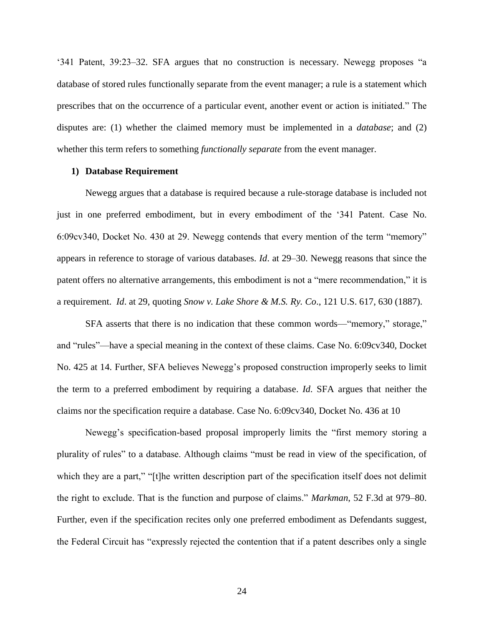'341 Patent, 39:23–32. SFA argues that no construction is necessary. Newegg proposes "a database of stored rules functionally separate from the event manager; a rule is a statement which prescribes that on the occurrence of a particular event, another event or action is initiated." The disputes are: (1) whether the claimed memory must be implemented in a *database*; and (2) whether this term refers to something *functionally separate* from the event manager.

# **1) Database Requirement**

Newegg argues that a database is required because a rule-storage database is included not just in one preferred embodiment, but in every embodiment of the '341 Patent. Case No. 6:09cv340, Docket No. 430 at 29. Newegg contends that every mention of the term "memory" appears in reference to storage of various databases. *Id*. at 29–30. Newegg reasons that since the patent offers no alternative arrangements, this embodiment is not a "mere recommendation," it is a requirement. *Id*. at 29, quoting *Snow v. Lake Shore & M.S. Ry. Co*., 121 U.S. 617, 630 (1887).

SFA asserts that there is no indication that these common words—"memory," storage," and "rules"—have a special meaning in the context of these claims. Case No. 6:09cv340, Docket No. 425 at 14. Further, SFA believes Newegg's proposed construction improperly seeks to limit the term to a preferred embodiment by requiring a database. *Id*. SFA argues that neither the claims nor the specification require a database. Case No. 6:09cv340, Docket No. 436 at 10

Newegg's specification-based proposal improperly limits the "first memory storing a plurality of rules" to a database. Although claims "must be read in view of the specification, of which they are a part," "[t]he written description part of the specification itself does not delimit the right to exclude. That is the function and purpose of claims." *Markman*, 52 F.3d at 979–80. Further, even if the specification recites only one preferred embodiment as Defendants suggest, the Federal Circuit has "expressly rejected the contention that if a patent describes only a single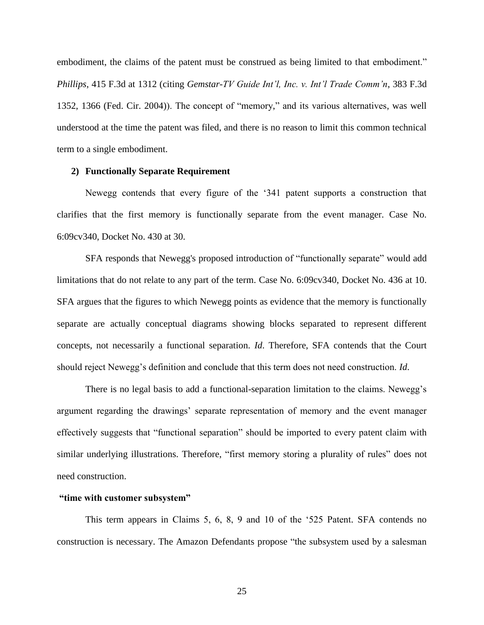embodiment, the claims of the patent must be construed as being limited to that embodiment." *Phillips*, 415 F.3d at 1312 (citing *Gemstar-TV Guide Int'l, Inc. v. Int'l Trade Comm'n*, 383 F.3d 1352, 1366 (Fed. Cir. 2004)). The concept of "memory," and its various alternatives, was well understood at the time the patent was filed, and there is no reason to limit this common technical term to a single embodiment.

## **2) Functionally Separate Requirement**

Newegg contends that every figure of the '341 patent supports a construction that clarifies that the first memory is functionally separate from the event manager. Case No. 6:09cv340, Docket No. 430 at 30.

SFA responds that Newegg's proposed introduction of "functionally separate" would add limitations that do not relate to any part of the term. Case No. 6:09cv340, Docket No. 436 at 10. SFA argues that the figures to which Newegg points as evidence that the memory is functionally separate are actually conceptual diagrams showing blocks separated to represent different concepts, not necessarily a functional separation. *Id*. Therefore, SFA contends that the Court should reject Newegg's definition and conclude that this term does not need construction. *Id*.

There is no legal basis to add a functional-separation limitation to the claims. Newegg's argument regarding the drawings' separate representation of memory and the event manager effectively suggests that "functional separation" should be imported to every patent claim with similar underlying illustrations. Therefore, "first memory storing a plurality of rules" does not need construction.

### **"time with customer subsystem"**

This term appears in Claims 5, 6, 8, 9 and 10 of the '525 Patent. SFA contends no construction is necessary. The Amazon Defendants propose "the subsystem used by a salesman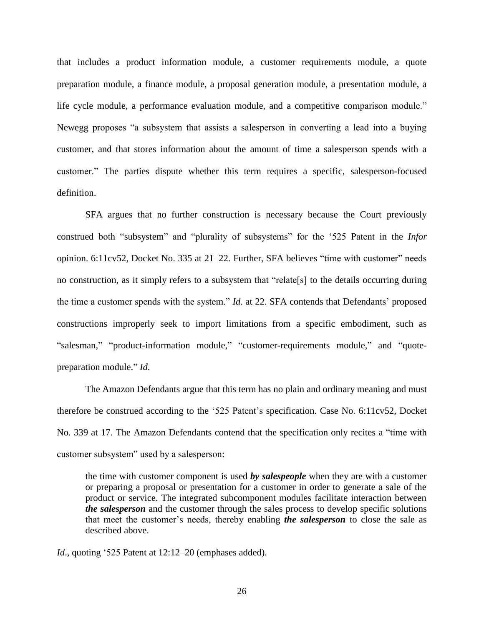that includes a product information module, a customer requirements module, a quote preparation module, a finance module, a proposal generation module, a presentation module, a life cycle module, a performance evaluation module, and a competitive comparison module." Newegg proposes "a subsystem that assists a salesperson in converting a lead into a buying customer, and that stores information about the amount of time a salesperson spends with a customer." The parties dispute whether this term requires a specific, salesperson-focused definition.

SFA argues that no further construction is necessary because the Court previously construed both "subsystem" and "plurality of subsystems" for the '525 Patent in the *Infor*  opinion. 6:11cv52, Docket No. 335 at 21–22. Further, SFA believes "time with customer" needs no construction, as it simply refers to a subsystem that "relate[s] to the details occurring during the time a customer spends with the system." *Id*. at 22. SFA contends that Defendants' proposed constructions improperly seek to import limitations from a specific embodiment, such as "salesman," "product-information module," "customer-requirements module," and "quotepreparation module." *Id*.

The Amazon Defendants argue that this term has no plain and ordinary meaning and must therefore be construed according to the '525 Patent's specification. Case No. 6:11cv52, Docket No. 339 at 17. The Amazon Defendants contend that the specification only recites a "time with customer subsystem" used by a salesperson:

the time with customer component is used *by salespeople* when they are with a customer or preparing a proposal or presentation for a customer in order to generate a sale of the product or service. The integrated subcomponent modules facilitate interaction between *the salesperson* and the customer through the sales process to develop specific solutions that meet the customer's needs, thereby enabling *the salesperson* to close the sale as described above.

*Id*., quoting '525 Patent at 12:12–20 (emphases added).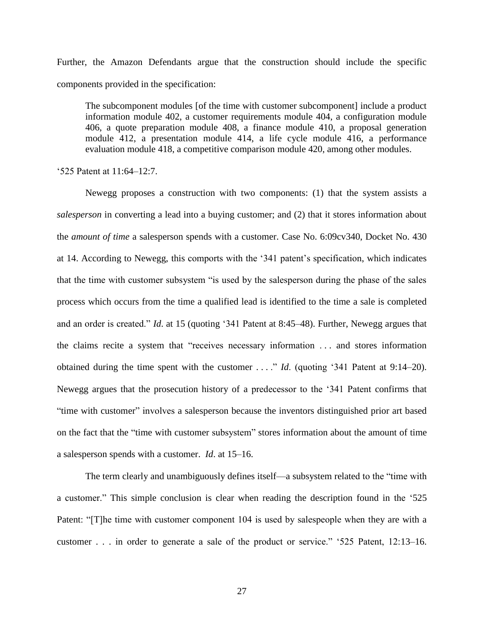Further, the Amazon Defendants argue that the construction should include the specific components provided in the specification:

The subcomponent modules [of the time with customer subcomponent] include a product information module 402, a customer requirements module 404, a configuration module 406, a quote preparation module 408, a finance module 410, a proposal generation module 412, a presentation module 414, a life cycle module 416, a performance evaluation module 418, a competitive comparison module 420, among other modules.

#### '525 Patent at 11:64–12:7.

Newegg proposes a construction with two components: (1) that the system assists a *salesperson* in converting a lead into a buying customer; and (2) that it stores information about the *amount of time* a salesperson spends with a customer. Case No. 6:09cv340, Docket No. 430 at 14. According to Newegg, this comports with the '341 patent's specification, which indicates that the time with customer subsystem "is used by the salesperson during the phase of the sales process which occurs from the time a qualified lead is identified to the time a sale is completed and an order is created." *Id*. at 15 (quoting '341 Patent at 8:45–48). Further, Newegg argues that the claims recite a system that "receives necessary information . . . and stores information obtained during the time spent with the customer . . . ." *Id*. (quoting '341 Patent at 9:14–20). Newegg argues that the prosecution history of a predecessor to the '341 Patent confirms that "time with customer" involves a salesperson because the inventors distinguished prior art based on the fact that the "time with customer subsystem" stores information about the amount of time a salesperson spends with a customer. *Id*. at 15–16.

The term clearly and unambiguously defines itself—a subsystem related to the "time with a customer." This simple conclusion is clear when reading the description found in the '525 Patent: "[T]he time with customer component 104 is used by salespeople when they are with a customer . . . in order to generate a sale of the product or service." '525 Patent, 12:13–16.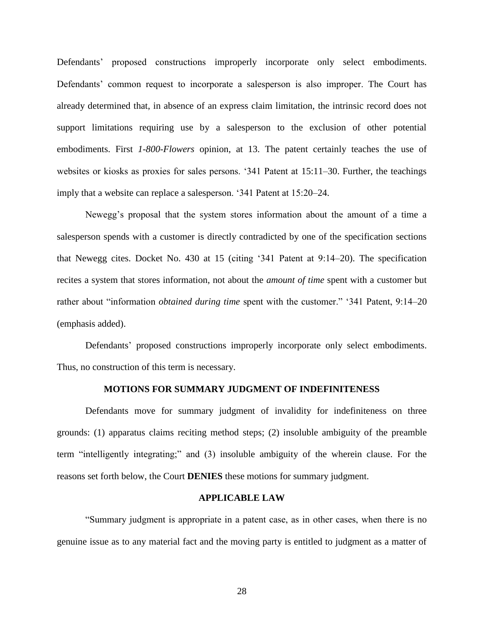Defendants' proposed constructions improperly incorporate only select embodiments. Defendants' common request to incorporate a salesperson is also improper. The Court has already determined that, in absence of an express claim limitation, the intrinsic record does not support limitations requiring use by a salesperson to the exclusion of other potential embodiments. First *1-800-Flowers* opinion, at 13. The patent certainly teaches the use of websites or kiosks as proxies for sales persons. '341 Patent at 15:11–30. Further, the teachings imply that a website can replace a salesperson. '341 Patent at 15:20–24.

Newegg's proposal that the system stores information about the amount of a time a salesperson spends with a customer is directly contradicted by one of the specification sections that Newegg cites. Docket No. 430 at 15 (citing '341 Patent at 9:14–20). The specification recites a system that stores information, not about the *amount of time* spent with a customer but rather about "information *obtained during time* spent with the customer." '341 Patent, 9:14–20 (emphasis added).

Defendants' proposed constructions improperly incorporate only select embodiments. Thus, no construction of this term is necessary.

### **MOTIONS FOR SUMMARY JUDGMENT OF INDEFINITENESS**

Defendants move for summary judgment of invalidity for indefiniteness on three grounds: (1) apparatus claims reciting method steps; (2) insoluble ambiguity of the preamble term "intelligently integrating;" and (3) insoluble ambiguity of the wherein clause. For the reasons set forth below, the Court **DENIES** these motions for summary judgment.

#### **APPLICABLE LAW**

"Summary judgment is appropriate in a patent case, as in other cases, when there is no genuine issue as to any material fact and the moving party is entitled to judgment as a matter of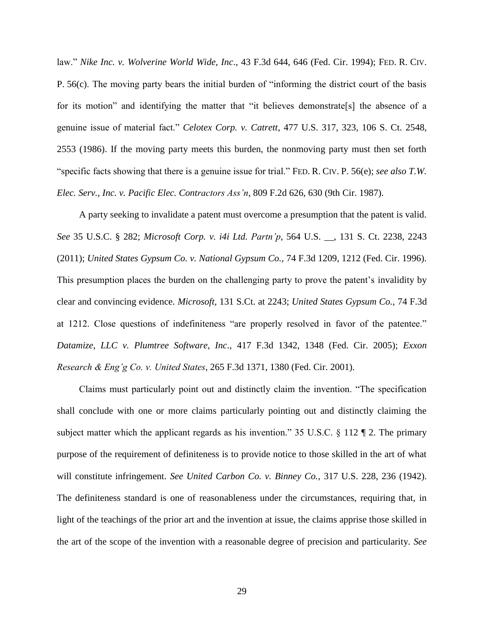law." *Nike Inc. v. Wolverine World Wide, Inc*., 43 F.3d 644, 646 (Fed. Cir. 1994); FED. R. CIV. P. 56(c). The moving party bears the initial burden of "informing the district court of the basis for its motion" and identifying the matter that "it believes demonstrate[s] the absence of a genuine issue of material fact." *Celotex Corp. v. Catrett*, 477 U.S. 317, 323, 106 S. Ct. 2548, 2553 (1986). If the moving party meets this burden, the nonmoving party must then set forth "specific facts showing that there is a genuine issue for trial." FED. R. CIV. P. 56(e); *see also T.W. Elec. Serv., Inc. v. Pacific Elec. Contractors Ass'n*, 809 F.2d 626, 630 (9th Cir. 1987).

A party seeking to invalidate a patent must overcome a presumption that the patent is valid. *See* 35 U.S.C. § 282; *Microsoft Corp. v. i4i Ltd. Partn'p*, 564 U.S. \_\_, 131 S. Ct. 2238, 2243 (2011); *United States Gypsum Co. v. National Gypsum Co.,* 74 F.3d 1209, 1212 (Fed. Cir. 1996). This presumption places the burden on the challenging party to prove the patent's invalidity by clear and convincing evidence. *Microsoft,* 131 S.Ct. at 2243; *United States Gypsum Co.,* 74 F.3d at 1212. Close questions of indefiniteness "are properly resolved in favor of the patentee." *Datamize, LLC v. Plumtree Software, Inc*., 417 F.3d 1342, 1348 (Fed. Cir. 2005); *Exxon Research & Eng'g Co. v. United States*, 265 F.3d 1371, 1380 (Fed. Cir. 2001).

Claims must particularly point out and distinctly claim the invention. "The specification shall conclude with one or more claims particularly pointing out and distinctly claiming the subject matter which the applicant regards as his invention." 35 U.S.C. § 112 ¶ 2. The primary purpose of the requirement of definiteness is to provide notice to those skilled in the art of what will constitute infringement. *See United Carbon Co. v. Binney Co.,* 317 U.S. 228, 236 (1942). The definiteness standard is one of reasonableness under the circumstances, requiring that, in light of the teachings of the prior art and the invention at issue, the claims apprise those skilled in the art of the scope of the invention with a reasonable degree of precision and particularity. *See*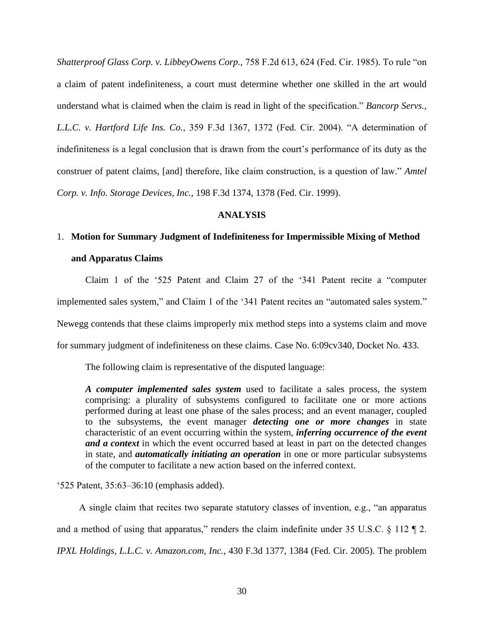*Shatterproof Glass Corp. v. LibbeyOwens Corp.,* 758 F.2d 613, 624 (Fed. Cir. 1985). To rule "on a claim of patent indefiniteness, a court must determine whether one skilled in the art would understand what is claimed when the claim is read in light of the specification." *Bancorp Servs., L.L.C. v. Hartford Life Ins. Co.*, 359 F.3d 1367, 1372 (Fed. Cir. 2004). "A determination of indefiniteness is a legal conclusion that is drawn from the court's performance of its duty as the construer of patent claims, [and] therefore, like claim construction, is a question of law." *Amtel Corp. v. Info. Storage Devices, Inc.,* 198 F.3d 1374, 1378 (Fed. Cir. 1999).

# **ANALYSIS**

# 1. **Motion for Summary Judgment of Indefiniteness for Impermissible Mixing of Method and Apparatus Claims**

Claim 1 of the '525 Patent and Claim 27 of the '341 Patent recite a "computer implemented sales system," and Claim 1 of the '341 Patent recites an "automated sales system." Newegg contends that these claims improperly mix method steps into a systems claim and move for summary judgment of indefiniteness on these claims. Case No. 6:09cv340, Docket No. 433.

The following claim is representative of the disputed language:

*A computer implemented sales system* used to facilitate a sales process, the system comprising: a plurality of subsystems configured to facilitate one or more actions performed during at least one phase of the sales process; and an event manager, coupled to the subsystems, the event manager *detecting one or more changes* in state characteristic of an event occurring within the system, *inferring occurrence of the event and a context* in which the event occurred based at least in part on the detected changes in state, and *automatically initiating an operation* in one or more particular subsystems of the computer to facilitate a new action based on the inferred context.

'525 Patent, 35:63–36:10 (emphasis added).

A single claim that recites two separate statutory classes of invention, e.g., "an apparatus and a method of using that apparatus," renders the claim indefinite under 35 U.S.C.  $\S$  112  $\P$  2. *IPXL Holdings, L.L.C. v. Amazon.com, Inc.*, 430 F.3d 1377, 1384 (Fed. Cir. 2005). The problem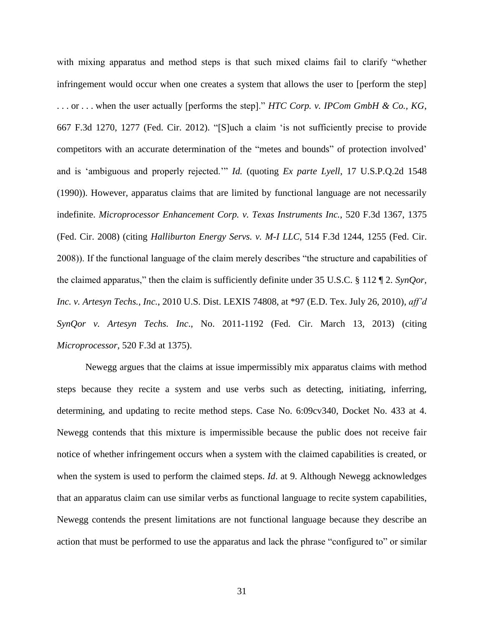with mixing apparatus and method steps is that such mixed claims fail to clarify "whether infringement would occur when one creates a system that allows the user to [perform the step] . . . or . . . when the user actually [performs the step]." *HTC Corp. v. IPCom GmbH & Co., KG*, 667 F.3d 1270, 1277 (Fed. Cir. 2012). "[S]uch a claim 'is not sufficiently precise to provide competitors with an accurate determination of the "metes and bounds" of protection involved' and is 'ambiguous and properly rejected.'" *Id.* (quoting *Ex parte Lyell*, 17 U.S.P.Q.2d 1548 (1990)). However, apparatus claims that are limited by functional language are not necessarily indefinite. *Microprocessor Enhancement Corp. v. Texas Instruments Inc.*, 520 F.3d 1367, 1375 (Fed. Cir. 2008) (citing *Halliburton Energy Servs. v. M-I LLC*, 514 F.3d 1244, 1255 (Fed. Cir. 2008)). If the functional language of the claim merely describes "the structure and capabilities of the claimed apparatus," then the claim is sufficiently definite under 35 U.S.C. § 112 ¶ 2. *SynQor, Inc. v. Artesyn Techs., Inc.*, 2010 U.S. Dist. LEXIS 74808, at \*97 (E.D. Tex. July 26, 2010), *aff'd SynQor v. Artesyn Techs. Inc*., No. 2011-1192 (Fed. Cir. March 13, 2013) (citing *Microprocessor*, 520 F.3d at 1375).

Newegg argues that the claims at issue impermissibly mix apparatus claims with method steps because they recite a system and use verbs such as detecting, initiating, inferring, determining, and updating to recite method steps. Case No. 6:09cv340, Docket No. 433 at 4. Newegg contends that this mixture is impermissible because the public does not receive fair notice of whether infringement occurs when a system with the claimed capabilities is created, or when the system is used to perform the claimed steps. *Id*. at 9. Although Newegg acknowledges that an apparatus claim can use similar verbs as functional language to recite system capabilities, Newegg contends the present limitations are not functional language because they describe an action that must be performed to use the apparatus and lack the phrase "configured to" or similar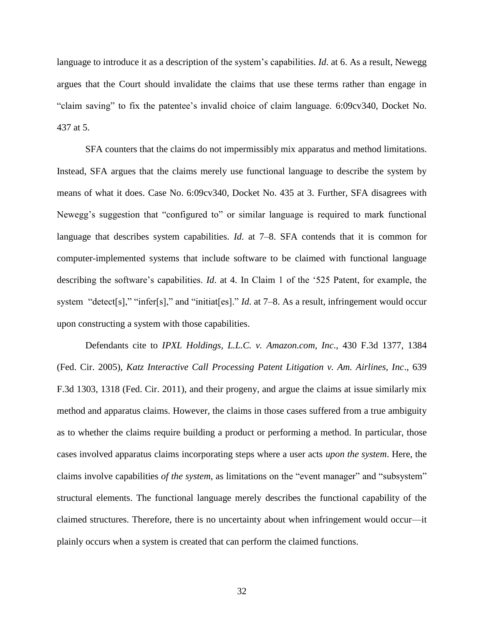language to introduce it as a description of the system's capabilities. *Id*. at 6. As a result, Newegg argues that the Court should invalidate the claims that use these terms rather than engage in "claim saving" to fix the patentee's invalid choice of claim language. 6:09cv340, Docket No. 437 at 5.

SFA counters that the claims do not impermissibly mix apparatus and method limitations. Instead, SFA argues that the claims merely use functional language to describe the system by means of what it does. Case No. 6:09cv340, Docket No. 435 at 3. Further, SFA disagrees with Newegg's suggestion that "configured to" or similar language is required to mark functional language that describes system capabilities. *Id*. at 7–8. SFA contends that it is common for computer-implemented systems that include software to be claimed with functional language describing the software's capabilities. *Id*. at 4. In Claim 1 of the '525 Patent, for example, the system "detect[s]," "infer[s]," and "initiat[es]." *Id*. at 7–8. As a result, infringement would occur upon constructing a system with those capabilities.

Defendants cite to *IPXL Holdings, L.L.C. v. Amazon.com, Inc*., 430 F.3d 1377, 1384 (Fed. Cir. 2005), *Katz Interactive Call Processing Patent Litigation v. Am. Airlines, Inc*., 639 F.3d 1303, 1318 (Fed. Cir. 2011), and their progeny, and argue the claims at issue similarly mix method and apparatus claims. However, the claims in those cases suffered from a true ambiguity as to whether the claims require building a product or performing a method. In particular, those cases involved apparatus claims incorporating steps where a user acts *upon the system*. Here, the claims involve capabilities *of the system*, as limitations on the "event manager" and "subsystem" structural elements. The functional language merely describes the functional capability of the claimed structures. Therefore, there is no uncertainty about when infringement would occur—it plainly occurs when a system is created that can perform the claimed functions.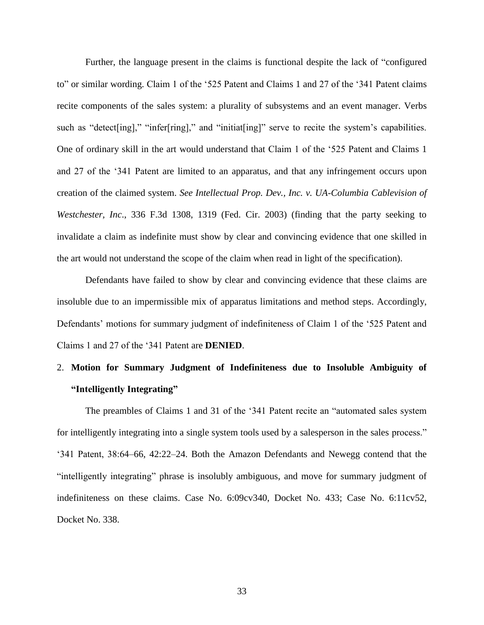Further, the language present in the claims is functional despite the lack of "configured to" or similar wording. Claim 1 of the '525 Patent and Claims 1 and 27 of the '341 Patent claims recite components of the sales system: a plurality of subsystems and an event manager. Verbs such as "detect [ing]," "infer[ring]," and "initiat [ing]" serve to recite the system's capabilities. One of ordinary skill in the art would understand that Claim 1 of the '525 Patent and Claims 1 and 27 of the '341 Patent are limited to an apparatus, and that any infringement occurs upon creation of the claimed system. *See Intellectual Prop. Dev., Inc. v. UA-Columbia Cablevision of Westchester, Inc*., 336 F.3d 1308, 1319 (Fed. Cir. 2003) (finding that the party seeking to invalidate a claim as indefinite must show by clear and convincing evidence that one skilled in the art would not understand the scope of the claim when read in light of the specification).

Defendants have failed to show by clear and convincing evidence that these claims are insoluble due to an impermissible mix of apparatus limitations and method steps. Accordingly, Defendants' motions for summary judgment of indefiniteness of Claim 1 of the '525 Patent and Claims 1 and 27 of the '341 Patent are **DENIED**.

# 2. **Motion for Summary Judgment of Indefiniteness due to Insoluble Ambiguity of "Intelligently Integrating"**

The preambles of Claims 1 and 31 of the '341 Patent recite an "automated sales system for intelligently integrating into a single system tools used by a salesperson in the sales process." '341 Patent, 38:64–66, 42:22–24. Both the Amazon Defendants and Newegg contend that the "intelligently integrating" phrase is insolubly ambiguous, and move for summary judgment of indefiniteness on these claims. Case No. 6:09cv340, Docket No. 433; Case No. 6:11cv52, Docket No. 338.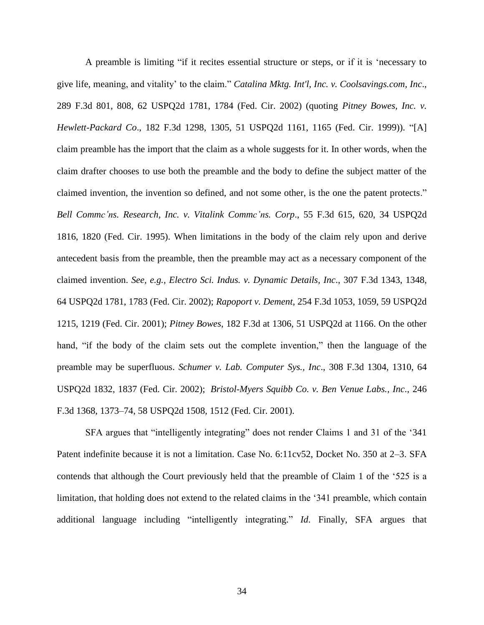A preamble is limiting "if it recites essential structure or steps, or if it is 'necessary to give life, meaning, and vitality' to the claim." *Catalina Mktg. Int'l, Inc. v. Coolsavings.com, Inc*., 289 F.3d 801, 808, 62 USPQ2d 1781, 1784 (Fed. Cir. 2002) (quoting *Pitney Bowes, Inc. v. Hewlett-Packard Co*., 182 F.3d 1298, 1305, 51 USPQ2d 1161, 1165 (Fed. Cir. 1999)). "[A] claim preamble has the import that the claim as a whole suggests for it. In other words, when the claim drafter chooses to use both the preamble and the body to define the subject matter of the claimed invention, the invention so defined, and not some other, is the one the patent protects." *Bell Commc'ns. Research, Inc. v. Vitalink Commc'ns. Corp*., 55 F.3d 615, 620, 34 USPQ2d 1816, 1820 (Fed. Cir. 1995). When limitations in the body of the claim rely upon and derive antecedent basis from the preamble, then the preamble may act as a necessary component of the claimed invention. *See, e.g., Electro Sci. Indus. v. Dynamic Details, Inc*., 307 F.3d 1343, 1348, 64 USPQ2d 1781, 1783 (Fed. Cir. 2002); *Rapoport v. Dement*, 254 F.3d 1053, 1059, 59 USPQ2d 1215, 1219 (Fed. Cir. 2001); *Pitney Bowes*, 182 F.3d at 1306, 51 USPQ2d at 1166. On the other hand, "if the body of the claim sets out the complete invention," then the language of the preamble may be superfluous. *Schumer v. Lab. Computer Sys., Inc*., 308 F.3d 1304, 1310, 64 USPQ2d 1832, 1837 (Fed. Cir. 2002); *Bristol-Myers Squibb Co. v. Ben Venue Labs., Inc*., 246 F.3d 1368, 1373–74, 58 USPQ2d 1508, 1512 (Fed. Cir. 2001).

SFA argues that "intelligently integrating" does not render Claims 1 and 31 of the '341 Patent indefinite because it is not a limitation. Case No. 6:11cv52, Docket No. 350 at 2–3. SFA contends that although the Court previously held that the preamble of Claim 1 of the '525 is a limitation, that holding does not extend to the related claims in the '341 preamble, which contain additional language including "intelligently integrating." *Id*. Finally, SFA argues that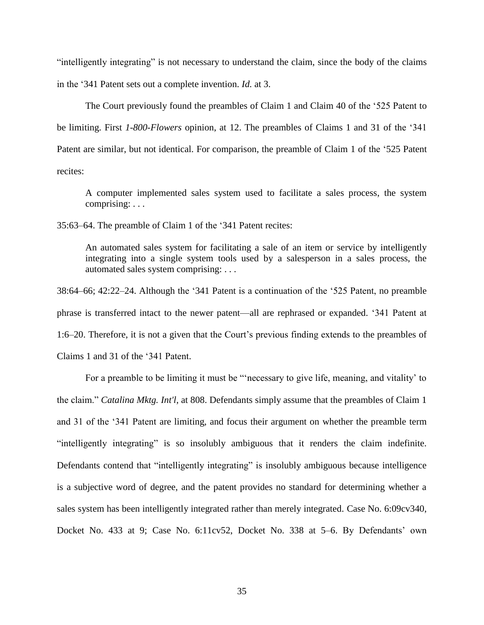"intelligently integrating" is not necessary to understand the claim, since the body of the claims in the '341 Patent sets out a complete invention. *Id.* at 3.

The Court previously found the preambles of Claim 1 and Claim 40 of the '525 Patent to be limiting. First *1-800-Flowers* opinion, at 12. The preambles of Claims 1 and 31 of the '341 Patent are similar, but not identical. For comparison, the preamble of Claim 1 of the '525 Patent recites:

A computer implemented sales system used to facilitate a sales process, the system comprising: . . .

35:63–64. The preamble of Claim 1 of the '341 Patent recites:

An automated sales system for facilitating a sale of an item or service by intelligently integrating into a single system tools used by a salesperson in a sales process, the automated sales system comprising: . . .

38:64–66; 42:22–24. Although the '341 Patent is a continuation of the '525 Patent, no preamble phrase is transferred intact to the newer patent—all are rephrased or expanded. '341 Patent at 1:6–20. Therefore, it is not a given that the Court's previous finding extends to the preambles of Claims 1 and 31 of the '341 Patent.

For a preamble to be limiting it must be "'necessary to give life, meaning, and vitality' to the claim." *Catalina Mktg. Int'l*, at 808. Defendants simply assume that the preambles of Claim 1 and 31 of the '341 Patent are limiting, and focus their argument on whether the preamble term "intelligently integrating" is so insolubly ambiguous that it renders the claim indefinite. Defendants contend that "intelligently integrating" is insolubly ambiguous because intelligence is a subjective word of degree, and the patent provides no standard for determining whether a sales system has been intelligently integrated rather than merely integrated. Case No. 6:09cv340, Docket No. 433 at 9; Case No. 6:11cv52, Docket No. 338 at 5–6. By Defendants' own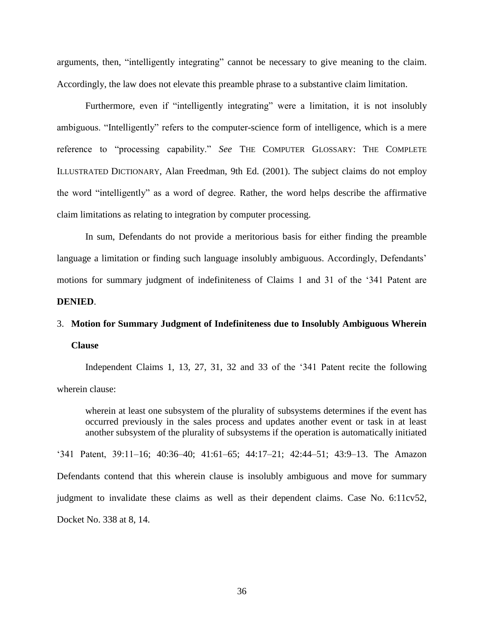arguments, then, "intelligently integrating" cannot be necessary to give meaning to the claim. Accordingly, the law does not elevate this preamble phrase to a substantive claim limitation.

Furthermore, even if "intelligently integrating" were a limitation, it is not insolubly ambiguous. "Intelligently" refers to the computer-science form of intelligence, which is a mere reference to "processing capability." *See* THE COMPUTER GLOSSARY: THE COMPLETE ILLUSTRATED DICTIONARY, Alan Freedman, 9th Ed. (2001). The subject claims do not employ the word "intelligently" as a word of degree. Rather, the word helps describe the affirmative claim limitations as relating to integration by computer processing.

In sum, Defendants do not provide a meritorious basis for either finding the preamble language a limitation or finding such language insolubly ambiguous. Accordingly, Defendants' motions for summary judgment of indefiniteness of Claims 1 and 31 of the '341 Patent are **DENIED**.

# 3. **Motion for Summary Judgment of Indefiniteness due to Insolubly Ambiguous Wherein Clause**

Independent Claims 1, 13, 27, 31, 32 and 33 of the '341 Patent recite the following wherein clause:

wherein at least one subsystem of the plurality of subsystems determines if the event has occurred previously in the sales process and updates another event or task in at least another subsystem of the plurality of subsystems if the operation is automatically initiated

'341 Patent, 39:11–16; 40:36–40; 41:61–65; 44:17–21; 42:44–51; 43:9–13. The Amazon Defendants contend that this wherein clause is insolubly ambiguous and move for summary judgment to invalidate these claims as well as their dependent claims. Case No. 6:11cv52, Docket No. 338 at 8, 14.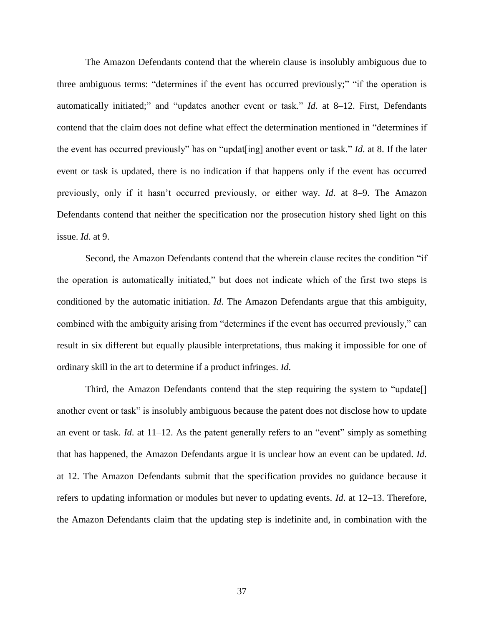The Amazon Defendants contend that the wherein clause is insolubly ambiguous due to three ambiguous terms: "determines if the event has occurred previously;" "if the operation is automatically initiated;" and "updates another event or task." *Id*. at 8–12. First, Defendants contend that the claim does not define what effect the determination mentioned in "determines if the event has occurred previously" has on "updat[ing] another event or task." *Id*. at 8. If the later event or task is updated, there is no indication if that happens only if the event has occurred previously, only if it hasn't occurred previously, or either way. *Id*. at 8–9. The Amazon Defendants contend that neither the specification nor the prosecution history shed light on this issue. *Id*. at 9.

Second, the Amazon Defendants contend that the wherein clause recites the condition "if the operation is automatically initiated," but does not indicate which of the first two steps is conditioned by the automatic initiation. *Id*. The Amazon Defendants argue that this ambiguity, combined with the ambiguity arising from "determines if the event has occurred previously," can result in six different but equally plausible interpretations, thus making it impossible for one of ordinary skill in the art to determine if a product infringes. *Id*.

Third, the Amazon Defendants contend that the step requiring the system to "update[] another event or task" is insolubly ambiguous because the patent does not disclose how to update an event or task. *Id*. at 11–12. As the patent generally refers to an "event" simply as something that has happened, the Amazon Defendants argue it is unclear how an event can be updated. *Id*. at 12. The Amazon Defendants submit that the specification provides no guidance because it refers to updating information or modules but never to updating events. *Id*. at 12–13. Therefore, the Amazon Defendants claim that the updating step is indefinite and, in combination with the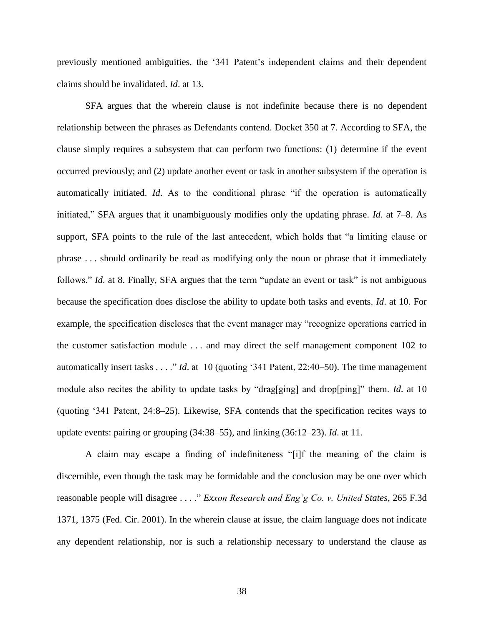previously mentioned ambiguities, the '341 Patent's independent claims and their dependent claims should be invalidated. *Id*. at 13.

SFA argues that the wherein clause is not indefinite because there is no dependent relationship between the phrases as Defendants contend. Docket 350 at 7. According to SFA, the clause simply requires a subsystem that can perform two functions: (1) determine if the event occurred previously; and (2) update another event or task in another subsystem if the operation is automatically initiated. *Id*. As to the conditional phrase "if the operation is automatically initiated," SFA argues that it unambiguously modifies only the updating phrase. *Id*. at 7–8. As support, SFA points to the rule of the last antecedent, which holds that "a limiting clause or phrase . . . should ordinarily be read as modifying only the noun or phrase that it immediately follows." *Id.* at 8. Finally, SFA argues that the term "update an event or task" is not ambiguous because the specification does disclose the ability to update both tasks and events. *Id*. at 10. For example, the specification discloses that the event manager may "recognize operations carried in the customer satisfaction module . . . and may direct the self management component 102 to automatically insert tasks . . . ." *Id*. at 10 (quoting '341 Patent, 22:40–50). The time management module also recites the ability to update tasks by "drag[ging] and drop[ping]" them. *Id*. at 10 (quoting '341 Patent, 24:8–25). Likewise, SFA contends that the specification recites ways to update events: pairing or grouping (34:38–55), and linking (36:12–23). *Id*. at 11.

A claim may escape a finding of indefiniteness "[i]f the meaning of the claim is discernible, even though the task may be formidable and the conclusion may be one over which reasonable people will disagree . . . ." *Exxon Research and Eng'g Co. v. United States*, 265 F.3d 1371, 1375 (Fed. Cir. 2001). In the wherein clause at issue, the claim language does not indicate any dependent relationship, nor is such a relationship necessary to understand the clause as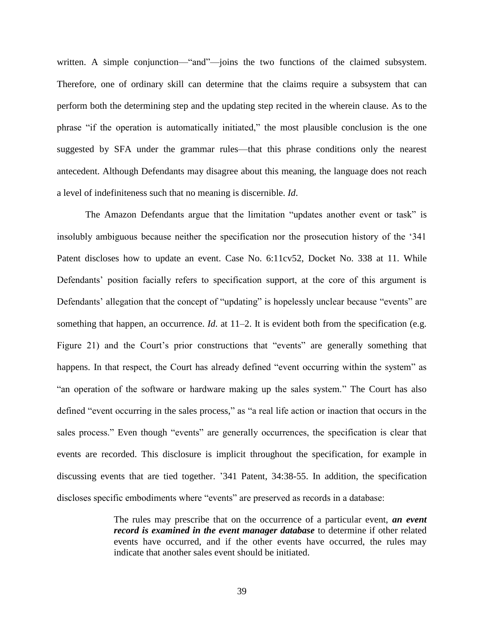written. A simple conjunction—"and"—joins the two functions of the claimed subsystem. Therefore, one of ordinary skill can determine that the claims require a subsystem that can perform both the determining step and the updating step recited in the wherein clause. As to the phrase "if the operation is automatically initiated," the most plausible conclusion is the one suggested by SFA under the grammar rules—that this phrase conditions only the nearest antecedent. Although Defendants may disagree about this meaning, the language does not reach a level of indefiniteness such that no meaning is discernible. *Id*.

The Amazon Defendants argue that the limitation "updates another event or task" is insolubly ambiguous because neither the specification nor the prosecution history of the '341 Patent discloses how to update an event. Case No. 6:11cv52, Docket No. 338 at 11. While Defendants' position facially refers to specification support, at the core of this argument is Defendants' allegation that the concept of "updating" is hopelessly unclear because "events" are something that happen, an occurrence. *Id.* at 11–2. It is evident both from the specification (e.g. Figure 21) and the Court's prior constructions that "events" are generally something that happens. In that respect, the Court has already defined "event occurring within the system" as "an operation of the software or hardware making up the sales system." The Court has also defined "event occurring in the sales process," as "a real life action or inaction that occurs in the sales process." Even though "events" are generally occurrences, the specification is clear that events are recorded. This disclosure is implicit throughout the specification, for example in discussing events that are tied together. '341 Patent, 34:38-55. In addition, the specification discloses specific embodiments where "events" are preserved as records in a database:

> The rules may prescribe that on the occurrence of a particular event, *an event record is examined in the event manager database* to determine if other related events have occurred, and if the other events have occurred, the rules may indicate that another sales event should be initiated.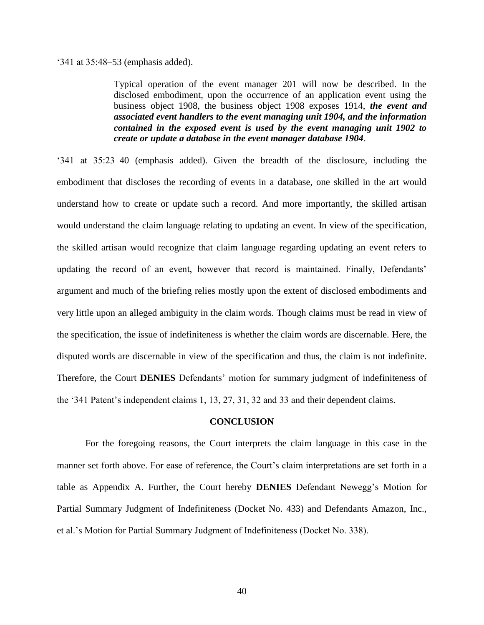'341 at 35:48–53 (emphasis added).

Typical operation of the event manager 201 will now be described. In the disclosed embodiment, upon the occurrence of an application event using the business object 1908, the business object 1908 exposes 1914, *the event and associated event handlers to the event managing unit 1904, and the information contained in the exposed event is used by the event managing unit 1902 to create or update a database in the event manager database 1904*.

'341 at 35:23–40 (emphasis added). Given the breadth of the disclosure, including the embodiment that discloses the recording of events in a database, one skilled in the art would understand how to create or update such a record. And more importantly, the skilled artisan would understand the claim language relating to updating an event. In view of the specification, the skilled artisan would recognize that claim language regarding updating an event refers to updating the record of an event, however that record is maintained. Finally, Defendants' argument and much of the briefing relies mostly upon the extent of disclosed embodiments and very little upon an alleged ambiguity in the claim words. Though claims must be read in view of the specification, the issue of indefiniteness is whether the claim words are discernable. Here, the disputed words are discernable in view of the specification and thus, the claim is not indefinite. Therefore, the Court **DENIES** Defendants' motion for summary judgment of indefiniteness of the '341 Patent's independent claims 1, 13, 27, 31, 32 and 33 and their dependent claims.

#### **CONCLUSION**

For the foregoing reasons, the Court interprets the claim language in this case in the manner set forth above. For ease of reference, the Court's claim interpretations are set forth in a table as Appendix A. Further, the Court hereby **DENIES** Defendant Newegg's Motion for Partial Summary Judgment of Indefiniteness (Docket No. 433) and Defendants Amazon, Inc., et al.'s Motion for Partial Summary Judgment of Indefiniteness (Docket No. 338).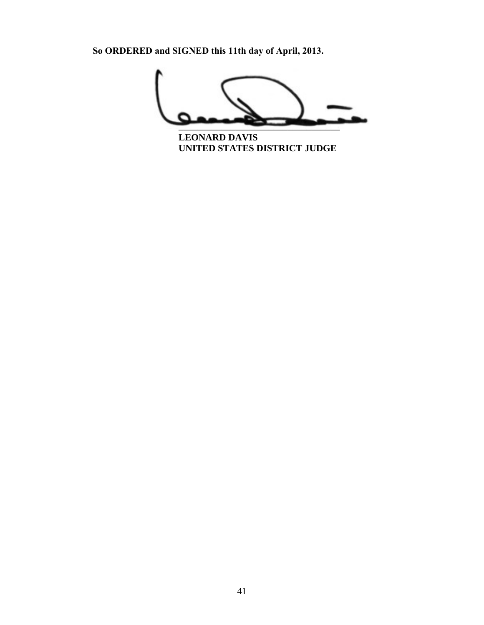

**LEONARD DAVIS**